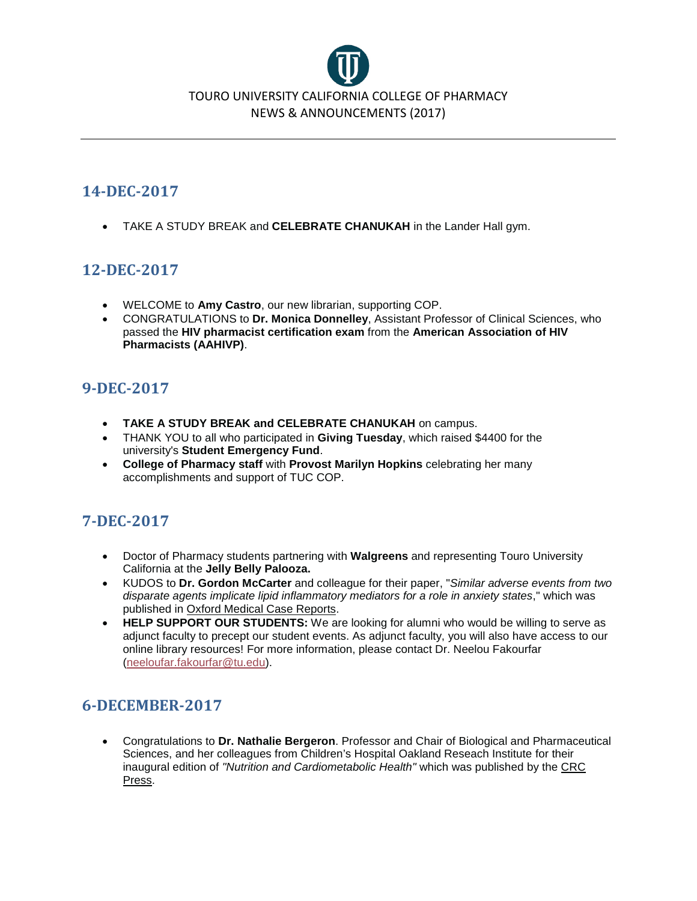

# **14-DEC-2017**

• TAKE A STUDY BREAK and **CELEBRATE CHANUKAH** in the Lander Hall gym.

## **12-DEC-2017**

- WELCOME to **Amy Castro**, our new librarian, supporting COP.
- CONGRATULATIONS to **Dr. Monica Donnelley**, Assistant Professor of Clinical Sciences, who passed the **HIV pharmacist certification exam** from the **American Association of HIV Pharmacists (AAHIVP)**.

# **9-DEC-2017**

- **TAKE A STUDY BREAK and CELEBRATE CHANUKAH** on campus.
- THANK YOU to all who participated in **Giving Tuesday**, which raised \$4400 for the university's **Student Emergency Fund**.
- **College of Pharmacy staff** with **Provost Marilyn Hopkins** celebrating her many accomplishments and support of TUC COP.

# **7-DEC-2017**

- Doctor of Pharmacy students partnering with **Walgreens** and representing Touro University California at the **Jelly Belly Palooza.**
- KUDOS to **Dr. Gordon McCarter** and colleague for their paper, "*Similar adverse events from two disparate agents implicate lipid inflammatory mediators for a role in anxiety states*," which was published in Oxford Medical Case Reports.
- **HELP SUPPORT OUR STUDENTS:** We are looking for alumni who would be willing to serve as adjunct faculty to precept our student events. As adjunct faculty, you will also have access to our online library resources! For more information, please contact Dr. Neelou Fakourfar [\(neeloufar.fakourfar@tu.edu\)](mailto:neeloufar.fakourfar@tu.edu).

# **6-DECEMBER-2017**

• Congratulations to **Dr. Nathalie Bergeron**. Professor and Chair of Biological and Pharmaceutical Sciences, and her colleagues from Children's Hospital Oakland Reseach Institute for their inaugural edition of *"Nutrition and Cardiometabolic Health"* which was published by the CRC Press.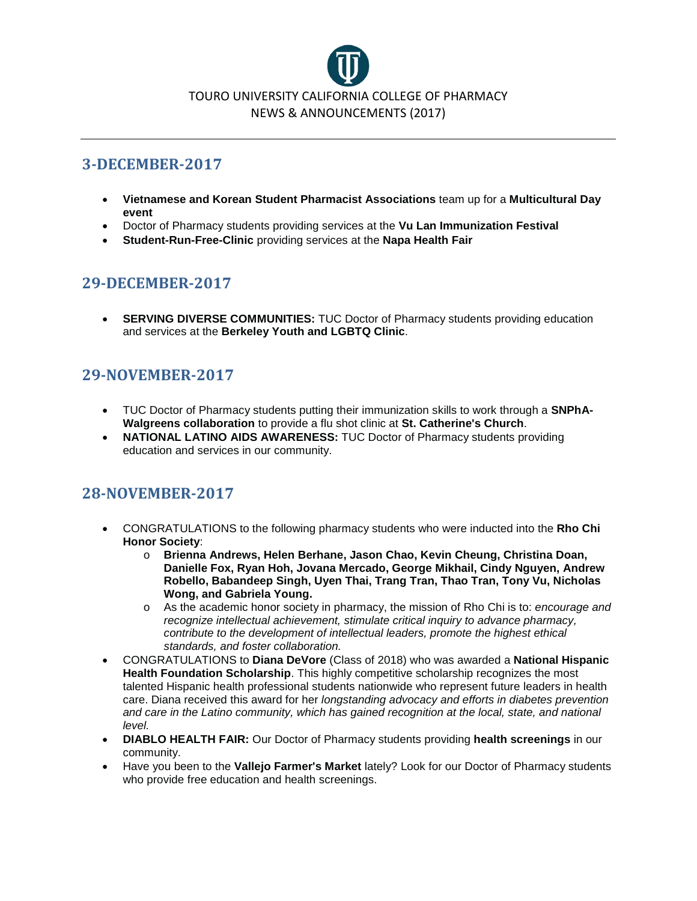

# **3-DECEMBER-2017**

- **Vietnamese and Korean Student Pharmacist Associations** team up for a **Multicultural Day event**
- Doctor of Pharmacy students providing services at the **Vu Lan Immunization Festival**
- **Student-Run-Free-Clinic** providing services at the **Napa Health Fair**

# **29-DECEMBER-2017**

• **SERVING DIVERSE COMMUNITIES:** TUC Doctor of Pharmacy students providing education and services at the **Berkeley Youth and LGBTQ Clinic**.

# **29-NOVEMBER-2017**

- TUC Doctor of Pharmacy students putting their immunization skills to work through a **SNPhA-Walgreens collaboration** to provide a flu shot clinic at **St. Catherine's Church**.
- **NATIONAL LATINO AIDS AWARENESS:** TUC Doctor of Pharmacy students providing education and services in our community.

## **28-NOVEMBER-2017**

- CONGRATULATIONS to the following pharmacy students who were inducted into the **Rho Chi Honor Society**:
	- o **Brienna Andrews, Helen Berhane, Jason Chao, Kevin Cheung, Christina Doan, Danielle Fox, Ryan Hoh, Jovana Mercado, George Mikhail, Cindy Nguyen, Andrew Robello, Babandeep Singh, Uyen Thai, Trang Tran, Thao Tran, Tony Vu, Nicholas Wong, and Gabriela Young.**
	- o As the academic honor society in pharmacy, the mission of Rho Chi is to: *encourage and recognize intellectual achievement, stimulate critical inquiry to advance pharmacy, contribute to the development of intellectual leaders, promote the highest ethical standards, and foster collaboration.*
- CONGRATULATIONS to **Diana DeVore** (Class of 2018) who was awarded a **National Hispanic Health Foundation Scholarship**. This highly competitive scholarship recognizes the most talented Hispanic health professional students nationwide who represent future leaders in health care. Diana received this award for her *longstanding advocacy and efforts in diabetes prevention*  and care in the Latino community, which has gained recognition at the local, state, and national *level.*
- **DIABLO HEALTH FAIR:** Our Doctor of Pharmacy students providing **health screenings** in our community.
- Have you been to the **Vallejo Farmer's Market** lately? Look for our Doctor of Pharmacy students who provide free education and health screenings.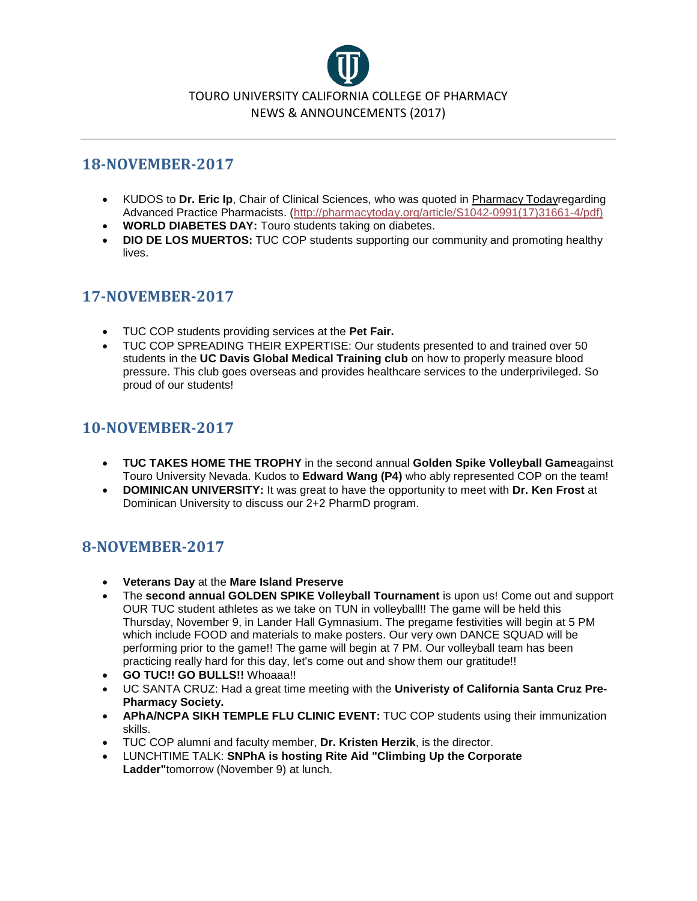

## **18-NOVEMBER-2017**

- KUDOS to **Dr. Eric Ip**, Chair of Clinical Sciences, who was quoted in Pharmacy Todayregarding Advanced Practice Pharmacists. [\(http://pharmacytoday.org/article/S1042-0991\(17\)31661-4/pdf\)](http://pharmacytoday.org/article/S1042-0991(17)31661-4/pdf))
- **WORLD DIABETES DAY:** Touro students taking on diabetes.
- **DIO DE LOS MUERTOS:** TUC COP students supporting our community and promoting healthy lives.

## **17-NOVEMBER-2017**

- TUC COP students providing services at the **Pet Fair.**
- TUC COP SPREADING THEIR EXPERTISE: Our students presented to and trained over 50 students in the **UC Davis Global Medical Training club** on how to properly measure blood pressure. This club goes overseas and provides healthcare services to the underprivileged. So proud of our students!

## **10-NOVEMBER-2017**

- **TUC TAKES HOME THE TROPHY** in the second annual **Golden Spike Volleyball Game**against Touro University Nevada. Kudos to **Edward Wang (P4)** who ably represented COP on the team!
- **DOMINICAN UNIVERSITY:** It was great to have the opportunity to meet with **Dr. Ken Frost** at Dominican University to discuss our 2+2 PharmD program.

# **8-NOVEMBER-2017**

- **Veterans Day** at the **Mare Island Preserve**
- The **second annual GOLDEN SPIKE Volleyball Tournament** is upon us! Come out and support OUR TUC student athletes as we take on TUN in volleyball!! The game will be held this Thursday, November 9, in Lander Hall Gymnasium. The pregame festivities will begin at 5 PM which include FOOD and materials to make posters. Our very own DANCE SQUAD will be performing prior to the game!! The game will begin at 7 PM. Our volleyball team has been practicing really hard for this day, let's come out and show them our gratitude!!
- **GO TUC!! GO BULLS!!** Whoaaa!!
- UC SANTA CRUZ: Had a great time meeting with the **Univeristy of California Santa Cruz Pre-Pharmacy Society.**
- **APhA/NCPA SIKH TEMPLE FLU CLINIC EVENT:** TUC COP students using their immunization skills.
- TUC COP alumni and faculty member, **Dr. Kristen Herzik**, is the director.
- LUNCHTIME TALK: **SNPhA is hosting Rite Aid "Climbing Up the Corporate Ladder"**tomorrow (November 9) at lunch.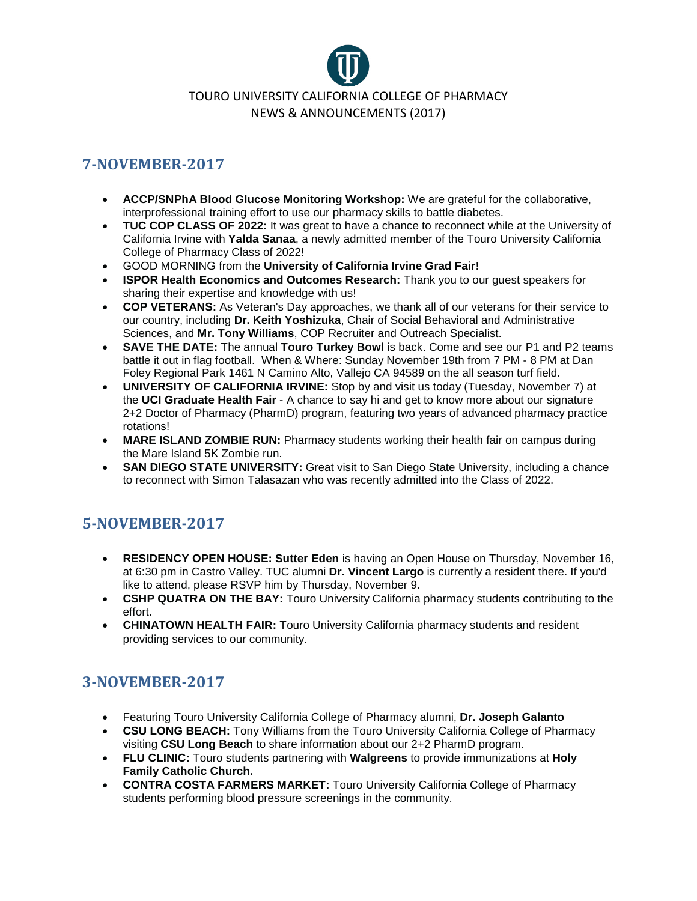

## **7-NOVEMBER-2017**

- **ACCP/SNPhA Blood Glucose Monitoring Workshop:** We are grateful for the collaborative, interprofessional training effort to use our pharmacy skills to battle diabetes.
- **TUC COP CLASS OF 2022:** It was great to have a chance to reconnect while at the University of California Irvine with **Yalda Sanaa**, a newly admitted member of the Touro University California College of Pharmacy Class of 2022!
- GOOD MORNING from the **University of California Irvine Grad Fair!**
- **ISPOR Health Economics and Outcomes Research:** Thank you to our guest speakers for sharing their expertise and knowledge with us!
- **COP VETERANS:** As Veteran's Day approaches, we thank all of our veterans for their service to our country, including **Dr. Keith Yoshizuka**, Chair of Social Behavioral and Administrative Sciences, and **Mr. Tony Williams**, COP Recruiter and Outreach Specialist.
- **SAVE THE DATE:** The annual **Touro Turkey Bowl** is back. Come and see our P1 and P2 teams battle it out in flag football. When & Where: Sunday November 19th from 7 PM - 8 PM at Dan Foley Regional Park 1461 N Camino Alto, Vallejo CA 94589 on the all season turf field.
- **UNIVERSITY OF CALIFORNIA IRVINE:** Stop by and visit us today (Tuesday, November 7) at the **UCI Graduate Health Fair** - A chance to say hi and get to know more about our signature 2+2 Doctor of Pharmacy (PharmD) program, featuring two years of advanced pharmacy practice rotations!
- **MARE ISLAND ZOMBIE RUN:** Pharmacy students working their health fair on campus during the Mare Island 5K Zombie run.
- **SAN DIEGO STATE UNIVERSITY:** Great visit to San Diego State University, including a chance to reconnect with Simon Talasazan who was recently admitted into the Class of 2022.

# **5-NOVEMBER-2017**

- **RESIDENCY OPEN HOUSE: Sutter Eden** is having an Open House on Thursday, November 16, at 6:30 pm in Castro Valley. TUC alumni **Dr. Vincent Largo** is currently a resident there. If you'd like to attend, please RSVP him by Thursday, November 9.
- **CSHP QUATRA ON THE BAY:** Touro University California pharmacy students contributing to the effort.
- **CHINATOWN HEALTH FAIR:** Touro University California pharmacy students and resident providing services to our community.

# **3-NOVEMBER-2017**

- Featuring Touro University California College of Pharmacy alumni, **Dr. Joseph Galanto**
- **CSU LONG BEACH:** Tony Williams from the Touro University California College of Pharmacy visiting **CSU Long Beach** to share information about our 2+2 PharmD program.
- **FLU CLINIC:** Touro students partnering with **Walgreens** to provide immunizations at **Holy Family Catholic Church.**
- **CONTRA COSTA FARMERS MARKET:** Touro University California College of Pharmacy students performing blood pressure screenings in the community.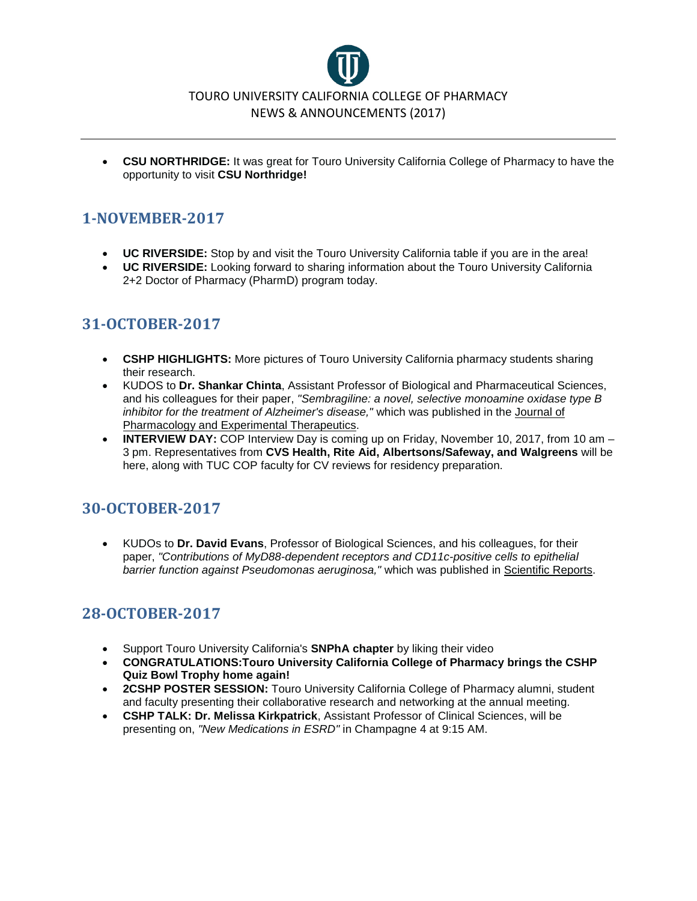

• **CSU NORTHRIDGE:** It was great for Touro University California College of Pharmacy to have the opportunity to visit **CSU Northridge!**

# **1-NOVEMBER-2017**

- **UC RIVERSIDE:** Stop by and visit the Touro University California table if you are in the area!
- **UC RIVERSIDE:** Looking forward to sharing information about the Touro University California 2+2 Doctor of Pharmacy (PharmD) program today.

# **31-OCTOBER-2017**

- **CSHP HIGHLIGHTS:** More pictures of Touro University California pharmacy students sharing their research.
- KUDOS to **Dr. Shankar Chinta**, Assistant Professor of Biological and Pharmaceutical Sciences, and his colleagues for their paper, *"Sembragiline: a novel, selective monoamine oxidase type B inhibitor for the treatment of Alzheimer's disease,"* which was published in the Journal of Pharmacology and Experimental Therapeutics.
- **INTERVIEW DAY:** COP Interview Day is coming up on Friday, November 10, 2017, from 10 am 3 pm. Representatives from **CVS Health, Rite Aid, Albertsons/Safeway, and Walgreens** will be here, along with TUC COP faculty for CV reviews for residency preparation.

# **30-OCTOBER-2017**

• KUDOs to **Dr. David Evans**, Professor of Biological Sciences, and his colleagues, for their paper, *"Contributions of MyD88-dependent receptors and CD11c-positive cells to epithelial barrier function against Pseudomonas aeruginosa,"* which was published in Scientific Reports.

## **28-OCTOBER-2017**

- Support Touro University California's **SNPhA chapter** by liking their video
- **CONGRATULATIONS:Touro University California College of Pharmacy brings the CSHP Quiz Bowl Trophy home again!**
- **2CSHP POSTER SESSION:** Touro University California College of Pharmacy alumni, student and faculty presenting their collaborative research and networking at the annual meeting.
- **CSHP TALK: Dr. Melissa Kirkpatrick**, Assistant Professor of Clinical Sciences, will be presenting on, *"New Medications in ESRD"* in Champagne 4 at 9:15 AM.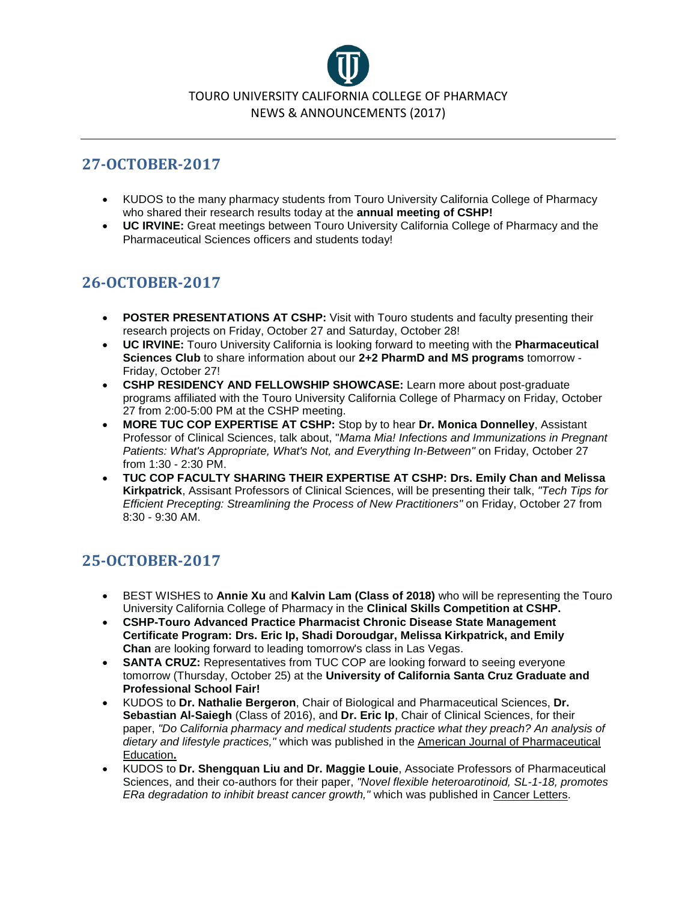

# **27-OCTOBER-2017**

- KUDOS to the many pharmacy students from Touro University California College of Pharmacy who shared their research results today at the **annual meeting of CSHP!**
- **UC IRVINE:** Great meetings between Touro University California College of Pharmacy and the Pharmaceutical Sciences officers and students today!

# **26-OCTOBER-2017**

- **POSTER PRESENTATIONS AT CSHP:** Visit with Touro students and faculty presenting their research projects on Friday, October 27 and Saturday, October 28!
- **UC IRVINE:** Touro University California is looking forward to meeting with the **Pharmaceutical Sciences Club** to share information about our **2+2 PharmD and MS programs** tomorrow - Friday, October 27!
- **CSHP RESIDENCY AND FELLOWSHIP SHOWCASE:** Learn more about post-graduate programs affiliated with the Touro University California College of Pharmacy on Friday, October 27 from 2:00-5:00 PM at the CSHP meeting.
- **MORE TUC COP EXPERTISE AT CSHP:** Stop by to hear **Dr. Monica Donnelley**, Assistant Professor of Clinical Sciences, talk about, "*Mama Mia! Infections and Immunizations in Pregnant Patients: What's Appropriate, What's Not, and Everything In-Between"* on Friday, October 27 from 1:30 - 2:30 PM.
- **TUC COP FACULTY SHARING THEIR EXPERTISE AT CSHP: Drs. Emily Chan and Melissa Kirkpatrick**, Assisant Professors of Clinical Sciences, will be presenting their talk, *"Tech Tips for Efficient Precepting: Streamlining the Process of New Practitioners"* on Friday, October 27 from 8:30 - 9:30 AM.

# **25-OCTOBER-2017**

- BEST WISHES to **Annie Xu** and **Kalvin Lam (Class of 2018)** who will be representing the Touro University California College of Pharmacy in the **Clinical Skills Competition at CSHP.**
- **CSHP-Touro Advanced Practice Pharmacist Chronic Disease State Management Certificate Program: Drs. Eric Ip, Shadi Doroudgar, Melissa Kirkpatrick, and Emily Chan** are looking forward to leading tomorrow's class in Las Vegas.
- **SANTA CRUZ:** Representatives from TUC COP are looking forward to seeing everyone tomorrow (Thursday, October 25) at the **University of California Santa Cruz Graduate and Professional School Fair!**
- KUDOS to **Dr. Nathalie Bergeron**, Chair of Biological and Pharmaceutical Sciences, **Dr. Sebastian Al-Saiegh** (Class of 2016), and **Dr. Eric Ip**, Chair of Clinical Sciences, for their paper, *"Do California pharmacy and medical students practice what they preach? An analysis of dietary and lifestyle practices,"* which was published in the American Journal of Pharmaceutical Education**.**
- KUDOS to **Dr. Shengquan Liu and Dr. Maggie Louie**, Associate Professors of Pharmaceutical Sciences, and their co-authors for their paper, *"Novel flexible heteroarotinoid, SL-1-18, promotes ERa degradation to inhibit breast cancer growth,"* which was published in Cancer Letters.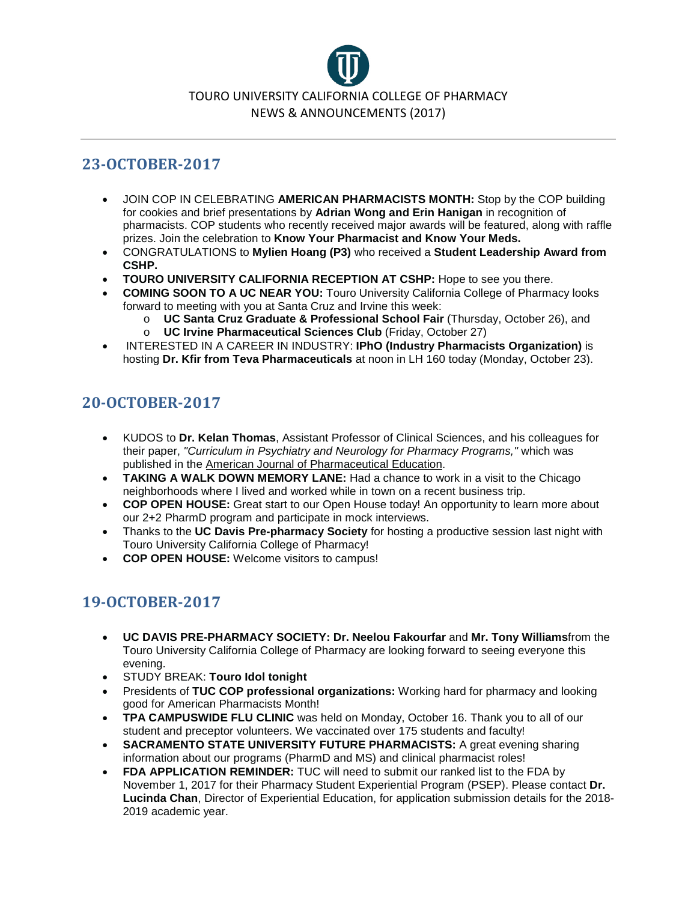

# **23-OCTOBER-2017**

- JOIN COP IN CELEBRATING **AMERICAN PHARMACISTS MONTH:** Stop by the COP building for cookies and brief presentations by **Adrian Wong and Erin Hanigan** in recognition of pharmacists. COP students who recently received major awards will be featured, along with raffle prizes. Join the celebration to **Know Your Pharmacist and Know Your Meds.**
- CONGRATULATIONS to **Mylien Hoang (P3)** who received a **Student Leadership Award from CSHP.**
- **TOURO UNIVERSITY CALIFORNIA RECEPTION AT CSHP:** Hope to see you there.
- **COMING SOON TO A UC NEAR YOU:** Touro University California College of Pharmacy looks forward to meeting with you at Santa Cruz and Irvine this week:
	- o **UC Santa Cruz Graduate & Professional School Fair** (Thursday, October 26), and
	- o **UC Irvine Pharmaceutical Sciences Club** (Friday, October 27)
- INTERESTED IN A CAREER IN INDUSTRY: **IPhO (Industry Pharmacists Organization)** is hosting **Dr. Kfir from Teva Pharmaceuticals** at noon in LH 160 today (Monday, October 23).

# **20-OCTOBER-2017**

- KUDOS to **Dr. Kelan Thomas**, Assistant Professor of Clinical Sciences, and his colleagues for their paper, *"Curriculum in Psychiatry and Neurology for Pharmacy Programs,"* which was published in the American Journal of Pharmaceutical Education.
- **TAKING A WALK DOWN MEMORY LANE:** Had a chance to work in a visit to the Chicago neighborhoods where I lived and worked while in town on a recent business trip.
- **COP OPEN HOUSE:** Great start to our Open House today! An opportunity to learn more about our 2+2 PharmD program and participate in mock interviews.
- Thanks to the **UC Davis Pre-pharmacy Society** for hosting a productive session last night with Touro University California College of Pharmacy!
- **COP OPEN HOUSE:** Welcome visitors to campus!

# **19-OCTOBER-2017**

- **UC DAVIS PRE-PHARMACY SOCIETY: Dr. Neelou Fakourfar** and **Mr. Tony Williams**from the Touro University California College of Pharmacy are looking forward to seeing everyone this evening.
- STUDY BREAK: **Touro Idol tonight**
- Presidents of **TUC COP professional organizations:** Working hard for pharmacy and looking good for American Pharmacists Month!
- **TPA CAMPUSWIDE FLU CLINIC** was held on Monday, October 16. Thank you to all of our student and preceptor volunteers. We vaccinated over 175 students and faculty!
- **SACRAMENTO STATE UNIVERSITY FUTURE PHARMACISTS:** A great evening sharing information about our programs (PharmD and MS) and clinical pharmacist roles!
- **FDA APPLICATION REMINDER:** TUC will need to submit our ranked list to the FDA by November 1, 2017 for their Pharmacy Student Experiential Program (PSEP). Please contact **Dr. Lucinda Chan**, Director of Experiential Education, for application submission details for the 2018- 2019 academic year.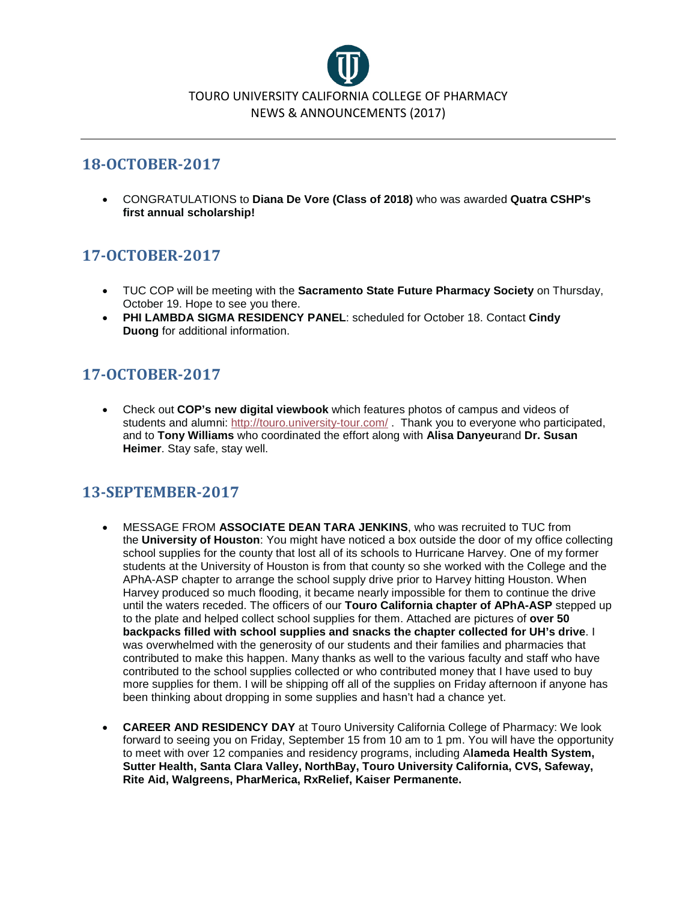

## **18-OCTOBER-2017**

• CONGRATULATIONS to **Diana De Vore (Class of 2018)** who was awarded **Quatra CSHP's first annual scholarship!**

# **17-OCTOBER-2017**

- TUC COP will be meeting with the **Sacramento State Future Pharmacy Society** on Thursday, October 19. Hope to see you there.
- **PHI LAMBDA SIGMA RESIDENCY PANEL**: scheduled for October 18. Contact **Cindy Duong** for additional information.

# **17-OCTOBER-2017**

• Check out **COP's new digital viewbook** which features photos of campus and videos of students and alumni: <http://touro.university-tour.com/> . Thank you to everyone who participated, and to **Tony Williams** who coordinated the effort along with **Alisa Danyeur**and **Dr. Susan Heimer**. Stay safe, stay well.

# **13-SEPTEMBER-2017**

- MESSAGE FROM **ASSOCIATE DEAN TARA JENKINS**, who was recruited to TUC from the **University of Houston**: You might have noticed a box outside the door of my office collecting school supplies for the county that lost all of its schools to Hurricane Harvey. One of my former students at the University of Houston is from that county so she worked with the College and the APhA-ASP chapter to arrange the school supply drive prior to Harvey hitting Houston. When Harvey produced so much flooding, it became nearly impossible for them to continue the drive until the waters receded. The officers of our **Touro California chapter of APhA-ASP** stepped up to the plate and helped collect school supplies for them. Attached are pictures of **over 50 backpacks filled with school supplies and snacks the chapter collected for UH's drive**. I was overwhelmed with the generosity of our students and their families and pharmacies that contributed to make this happen. Many thanks as well to the various faculty and staff who have contributed to the school supplies collected or who contributed money that I have used to buy more supplies for them. I will be shipping off all of the supplies on Friday afternoon if anyone has been thinking about dropping in some supplies and hasn't had a chance yet.
- **CAREER AND RESIDENCY DAY** at Touro University California College of Pharmacy: We look forward to seeing you on Friday, September 15 from 10 am to 1 pm. You will have the opportunity to meet with over 12 companies and residency programs, including A**lameda Health System, Sutter Health, Santa Clara Valley, NorthBay, Touro University California, CVS, Safeway, Rite Aid, Walgreens, PharMerica, RxRelief, Kaiser Permanente.**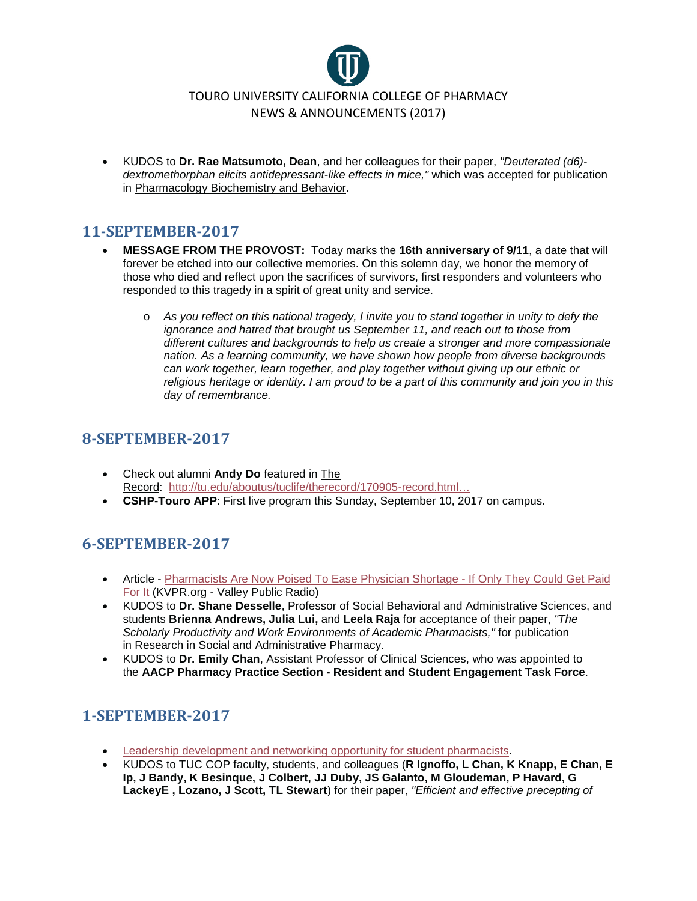

• KUDOS to **Dr. Rae Matsumoto, Dean**, and her colleagues for their paper, *"Deuterated (d6) dextromethorphan elicits antidepressant-like effects in mice,"* which was accepted for publication in Pharmacology Biochemistry and Behavior.

## **11-SEPTEMBER-2017**

- **MESSAGE FROM THE PROVOST:** Today marks the **16th anniversary of 9/11**, a date that will forever be etched into our collective memories. On this solemn day, we honor the memory of those who died and reflect upon the sacrifices of survivors, first responders and volunteers who responded to this tragedy in a spirit of great unity and service.
	- o *As you reflect on this national tragedy, I invite you to stand together in unity to defy the ignorance and hatred that brought us September 11, and reach out to those from different cultures and backgrounds to help us create a stronger and more compassionate nation. As a learning community, we have shown how people from diverse backgrounds can work together, learn together, and play together without giving up our ethnic or religious heritage or identity. I am proud to be a part of this community and join you in this day of remembrance.*

## **8-SEPTEMBER-2017**

- Check out alumni **Andy Do** featured in The Record: [http://tu.edu/aboutus/tuclife/therecord/170905-record.html…](http://tu.edu/aboutus/tuclife/therecord/170905-record.html#do)
- **CSHP-Touro APP**: First live program this Sunday, September 10, 2017 on campus.

## **6-SEPTEMBER-2017**

- Article [Pharmacists Are Now Poised To Ease Physician Shortage -](http://kvpr.org/post/pharmacists-are-now-poised-ease-physician-shortage-if-only-they-could-get-paid-it) If Only They Could Get Paid [For It](http://kvpr.org/post/pharmacists-are-now-poised-ease-physician-shortage-if-only-they-could-get-paid-it) (KVPR.org - Valley Public Radio)
- KUDOS to **Dr. Shane Desselle**, Professor of Social Behavioral and Administrative Sciences, and students **Brienna Andrews, Julia Lui,** and **Leela Raja** for acceptance of their paper, *"The Scholarly Productivity and Work Environments of Academic Pharmacists,"* for publication in Research in Social and Administrative Pharmacy.
- KUDOS to **Dr. Emily Chan**, Assistant Professor of Clinical Sciences, who was appointed to the **AACP Pharmacy Practice Section - Resident and Student Engagement Task Force**.

# **1-SEPTEMBER-2017**

- [Leadership development and networking opportunity for student pharmacists.](http://www.cpha.com/RxBootCamp)
- KUDOS to TUC COP faculty, students, and colleagues (**R Ignoffo, L Chan, K Knapp, E Chan, E Ip, J Bandy, K Besinque, J Colbert, JJ Duby, JS Galanto, M Gloudeman, P Havard, G LackeyE , Lozano, J Scott, TL Stewart**) for their paper, *"Efficient and effective precepting of*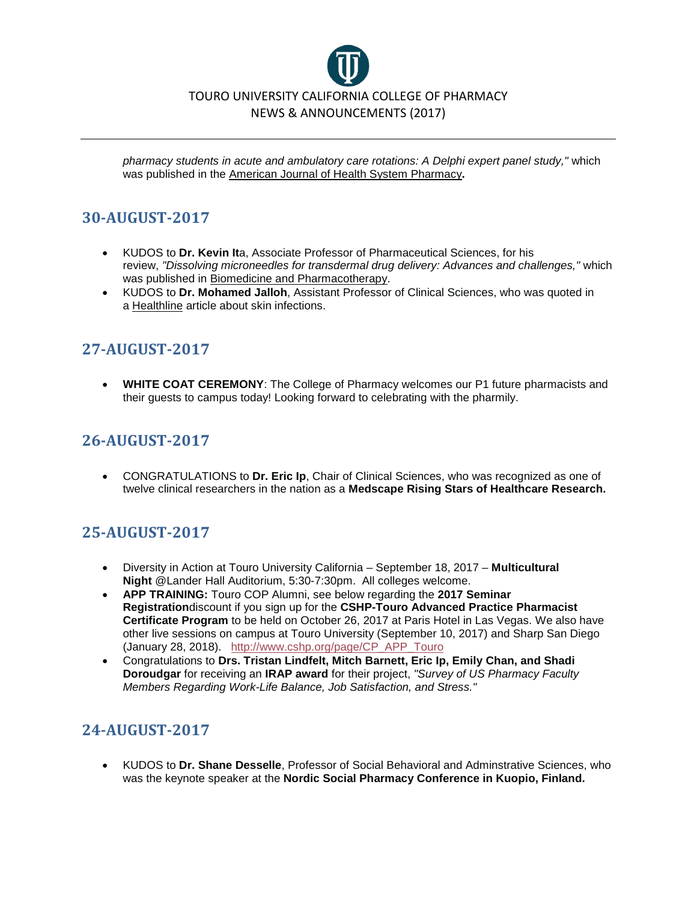

*pharmacy students in acute and ambulatory care rotations: A Delphi expert panel study,"* which was published in the American Journal of Health System Pharmacy**.**

## **30-AUGUST-2017**

- KUDOS to **Dr. Kevin It**a, Associate Professor of Pharmaceutical Sciences, for his review, *"Dissolving microneedles for transdermal drug delivery: Advances and challenges,"* which was published in Biomedicine and Pharmacotherapy.
- KUDOS to **Dr. Mohamed Jalloh**, Assistant Professor of Clinical Sciences, who was quoted in a Healthline article about skin infections.

## **27-AUGUST-2017**

• **WHITE COAT CEREMONY**: The College of Pharmacy welcomes our P1 future pharmacists and their guests to campus today! Looking forward to celebrating with the pharmily.

## **26-AUGUST-2017**

• CONGRATULATIONS to **Dr. Eric Ip**, Chair of Clinical Sciences, who was recognized as one of twelve clinical researchers in the nation as a **Medscape Rising Stars of Healthcare Research.**

# **25-AUGUST-2017**

- Diversity in Action at Touro University California September 18, 2017 **Multicultural Night** @Lander Hall Auditorium, 5:30-7:30pm. All colleges welcome.
- **APP TRAINING:** Touro COP Alumni, see below regarding the **2017 Seminar Registration**discount if you sign up for the **CSHP-Touro Advanced Practice Pharmacist Certificate Program** to be held on October 26, 2017 at Paris Hotel in Las Vegas. We also have other live sessions on campus at Touro University (September 10, 2017) and Sharp San Diego (January 28, 2018). [http://www.cshp.org/page/CP\\_APP\\_Touro](http://www.cshp.org/page/CP_APP_Touro)
- Congratulations to **Drs. Tristan Lindfelt, Mitch Barnett, Eric Ip, Emily Chan, and Shadi Doroudgar** for receiving an **IRAP award** for their project, *"Survey of US Pharmacy Faculty Members Regarding Work-Life Balance, Job Satisfaction, and Stress."*

# **24-AUGUST-2017**

• KUDOS to **Dr. Shane Desselle**, Professor of Social Behavioral and Adminstrative Sciences, who was the keynote speaker at the **Nordic Social Pharmacy Conference in Kuopio, Finland.**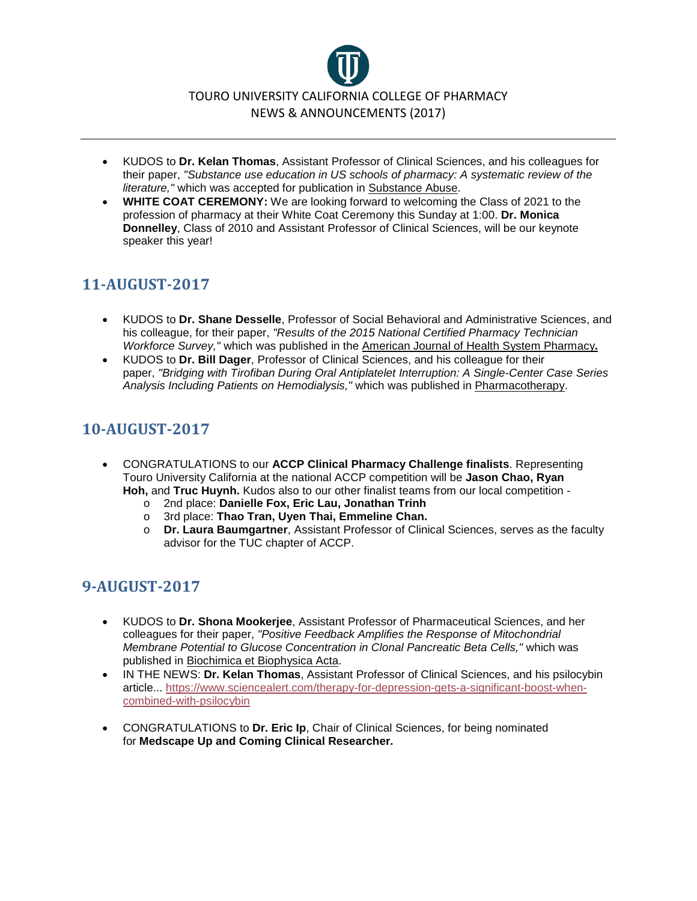

- KUDOS to **Dr. Kelan Thomas**, Assistant Professor of Clinical Sciences, and his colleagues for their paper, *"Substance use education in US schools of pharmacy: A systematic review of the literature,"* which was accepted for publication in Substance Abuse.
- **WHITE COAT CEREMONY:** We are looking forward to welcoming the Class of 2021 to the profession of pharmacy at their White Coat Ceremony this Sunday at 1:00. **Dr. Monica Donnelley**, Class of 2010 and Assistant Professor of Clinical Sciences, will be our keynote speaker this year!

# **11-AUGUST-2017**

- KUDOS to **Dr. Shane Desselle**, Professor of Social Behavioral and Administrative Sciences, and his colleague, for their paper, *"Results of the 2015 National Certified Pharmacy Technician Workforce Survey,"* which was published in the American Journal of Health System Pharmacy**.**
- KUDOS to **Dr. Bill Dager**, Professor of Clinical Sciences, and his colleague for their paper, *"Bridging with Tirofiban During Oral Antiplatelet Interruption: A Single-Center Case Series Analysis Including Patients on Hemodialysis,"* which was published in Pharmacotherapy.

## **10-AUGUST-2017**

- CONGRATULATIONS to our **ACCP Clinical Pharmacy Challenge finalists**. Representing Touro University California at the national ACCP competition will be **Jason Chao, Ryan Hoh,** and **Truc Huynh.** Kudos also to our other finalist teams from our local competition
	- o 2nd place: **Danielle Fox, Eric Lau, Jonathan Trinh**
	- o 3rd place: **Thao Tran, Uyen Thai, Emmeline Chan.**
	- o **Dr. Laura Baumgartner**, Assistant Professor of Clinical Sciences, serves as the faculty advisor for the TUC chapter of ACCP.

# **9-AUGUST-2017**

- KUDOS to **Dr. Shona Mookerjee**, Assistant Professor of Pharmaceutical Sciences, and her colleagues for their paper, *"Positive Feedback Amplifies the Response of Mitochondrial Membrane Potential to Glucose Concentration in Clonal Pancreatic Beta Cells,"* which was published in Biochimica et Biophysica Acta.
- IN THE NEWS: **Dr. Kelan Thomas**, Assistant Professor of Clinical Sciences, and his psilocybin article... [https://www.sciencealert.com/therapy-for-depression-gets-a-significant-boost-when](https://www.sciencealert.com/therapy-for-depression-gets-a-significant-boost-when-combined-with-psilocybin)[combined-with-psilocybin](https://www.sciencealert.com/therapy-for-depression-gets-a-significant-boost-when-combined-with-psilocybin)
- CONGRATULATIONS to **Dr. Eric Ip**, Chair of Clinical Sciences, for being nominated for **Medscape Up and Coming Clinical Researcher.**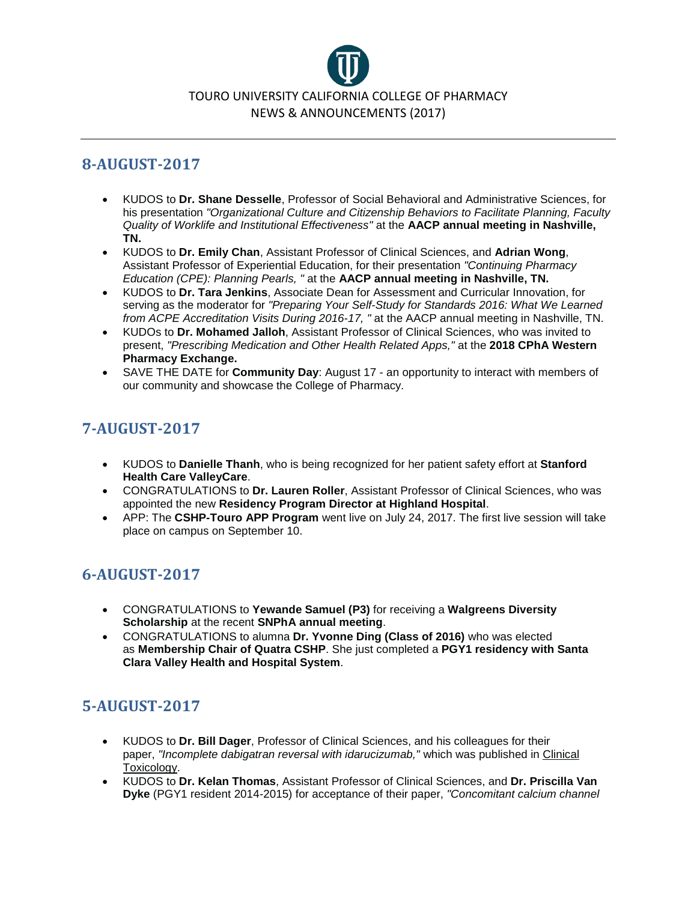

## **8-AUGUST-2017**

- KUDOS to **Dr. Shane Desselle**, Professor of Social Behavioral and Administrative Sciences, for his presentation *"Organizational Culture and Citizenship Behaviors to Facilitate Planning, Faculty Quality of Worklife and Institutional Effectiveness"* at the **AACP annual meeting in Nashville, TN.**
- KUDOS to **Dr. Emily Chan**, Assistant Professor of Clinical Sciences, and **Adrian Wong**, Assistant Professor of Experiential Education, for their presentation *"Continuing Pharmacy Education (CPE): Planning Pearls, "* at the **AACP annual meeting in Nashville, TN.**
- KUDOS to **Dr. Tara Jenkins**, Associate Dean for Assessment and Curricular Innovation, for serving as the moderator for *"Preparing Your Self-Study for Standards 2016: What We Learned from ACPE Accreditation Visits During 2016-17, "* at the AACP annual meeting in Nashville, TN.
- KUDOs to **Dr. Mohamed Jalloh**, Assistant Professor of Clinical Sciences, who was invited to present, *"Prescribing Medication and Other Health Related Apps,"* at the **2018 CPhA Western Pharmacy Exchange.**
- SAVE THE DATE for **Community Day**: August 17 an opportunity to interact with members of our community and showcase the College of Pharmacy.

# **7-AUGUST-2017**

- KUDOS to **Danielle Thanh**, who is being recognized for her patient safety effort at **Stanford Health Care ValleyCare**.
- CONGRATULATIONS to **Dr. Lauren Roller**, Assistant Professor of Clinical Sciences, who was appointed the new **Residency Program Director at Highland Hospital**.
- APP: The **CSHP-Touro APP Program** went live on July 24, 2017. The first live session will take place on campus on September 10.

# **6-AUGUST-2017**

- CONGRATULATIONS to **Yewande Samuel (P3)** for receiving a **Walgreens Diversity Scholarship** at the recent **SNPhA annual meeting**.
- CONGRATULATIONS to alumna **Dr. Yvonne Ding (Class of 2016)** who was elected as **Membership Chair of Quatra CSHP**. She just completed a **PGY1 residency with Santa Clara Valley Health and Hospital System**.

# **5-AUGUST-2017**

- KUDOS to **Dr. Bill Dager**, Professor of Clinical Sciences, and his colleagues for their paper, *"Incomplete dabigatran reversal with idarucizumab,"* which was published in Clinical Toxicology.
- KUDOS to **Dr. Kelan Thomas**, Assistant Professor of Clinical Sciences, and **Dr. Priscilla Van Dyke** (PGY1 resident 2014-2015) for acceptance of their paper, *"Concomitant calcium channel*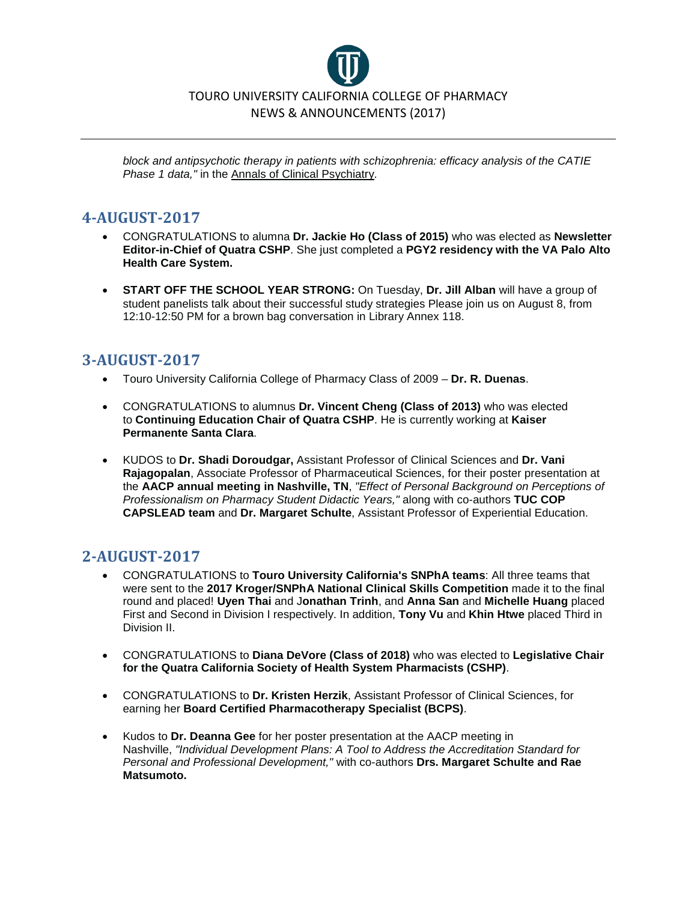

*block and antipsychotic therapy in patients with schizophrenia: efficacy analysis of the CATIE Phase 1 data,"* in the Annals of Clinical Psychiatry.

## **4-AUGUST-2017**

- CONGRATULATIONS to alumna **Dr. Jackie Ho (Class of 2015)** who was elected as **Newsletter Editor-in-Chief of Quatra CSHP**. She just completed a **PGY2 residency with the VA Palo Alto Health Care System.**
- **START OFF THE SCHOOL YEAR STRONG:** On Tuesday, **Dr. Jill Alban** will have a group of student panelists talk about their successful study strategies Please join us on August 8, from 12:10-12:50 PM for a brown bag conversation in Library Annex 118.

## **3-AUGUST-2017**

- Touro University California College of Pharmacy Class of 2009 **Dr. R. Duenas**.
- CONGRATULATIONS to alumnus **Dr. Vincent Cheng (Class of 2013)** who was elected to **Continuing Education Chair of Quatra CSHP**. He is currently working at **Kaiser Permanente Santa Clara**.
- KUDOS to **Dr. Shadi Doroudgar,** Assistant Professor of Clinical Sciences and **Dr. Vani Rajagopalan**, Associate Professor of Pharmaceutical Sciences, for their poster presentation at the **AACP annual meeting in Nashville, TN**, *"Effect of Personal Background on Perceptions of Professionalism on Pharmacy Student Didactic Years,"* along with co-authors **TUC COP CAPSLEAD team** and **Dr. Margaret Schulte**, Assistant Professor of Experiential Education.

## **2-AUGUST-2017**

- CONGRATULATIONS to **Touro University California's SNPhA teams**: All three teams that were sent to the **2017 Kroger/SNPhA National Clinical Skills Competition** made it to the final round and placed! **Uyen Thai** and J**onathan Trinh**, and **Anna San** and **Michelle Huang** placed First and Second in Division I respectively. In addition, **Tony Vu** and **Khin Htwe** placed Third in Division II.
- CONGRATULATIONS to **Diana DeVore (Class of 2018)** who was elected to **Legislative Chair for the Quatra California Society of Health System Pharmacists (CSHP)**.
- CONGRATULATIONS to **Dr. Kristen Herzik**, Assistant Professor of Clinical Sciences, for earning her **Board Certified Pharmacotherapy Specialist (BCPS)**.
- Kudos to **Dr. Deanna Gee** for her poster presentation at the AACP meeting in Nashville, *"Individual Development Plans: A Tool to Address the Accreditation Standard for Personal and Professional Development,"* with co-authors **Drs. Margaret Schulte and Rae Matsumoto.**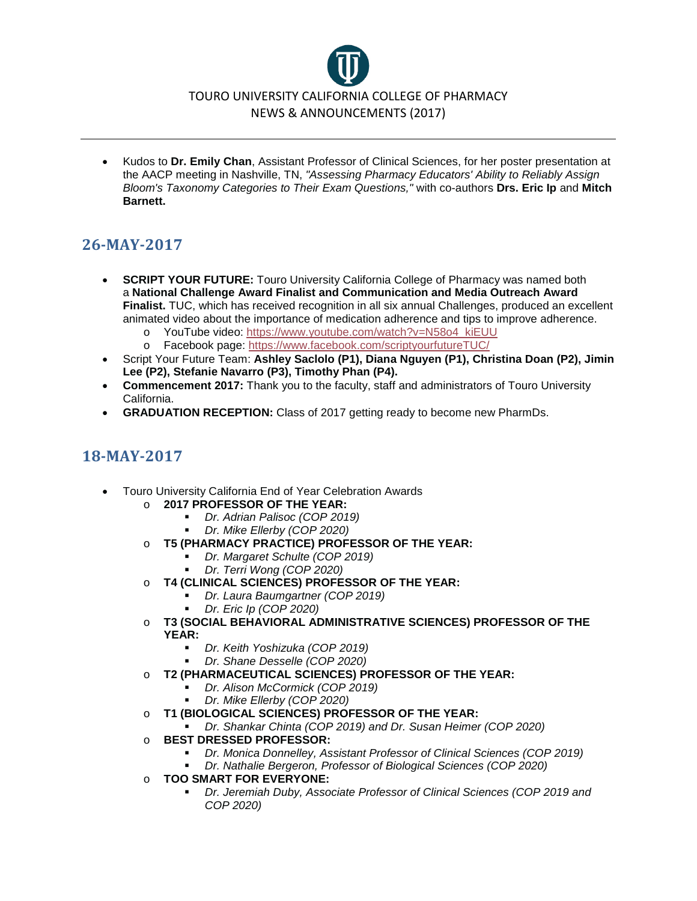# TOURO UNIVERSITY CALIFORNIA COLLEGE OF PHARMACY NEWS & ANNOUNCEMENTS (2017)

• Kudos to **Dr. Emily Chan**, Assistant Professor of Clinical Sciences, for her poster presentation at the AACP meeting in Nashville, TN, *"Assessing Pharmacy Educators' Ability to Reliably Assign Bloom's Taxonomy Categories to Their Exam Questions,"* with co-authors **Drs. Eric Ip** and **Mitch Barnett.**

# **26-MAY-2017**

- **SCRIPT YOUR FUTURE:** Touro University California College of Pharmacy was named both a **National Challenge Award Finalist and Communication and Media Outreach Award Finalist.** TUC, which has received recognition in all six annual Challenges, produced an excellent animated video about the importance of medication adherence and tips to improve adherence.
	- o YouTube video: [https://www.youtube.com/watch?v=N58o4\\_kiEUU](https://www.youtube.com/watch?v=N58o4_kiEUU)<br>o Facebook page: https://www.facebook.com/scriptyourfutureTUC/
	- Facebook page: <https://www.facebook.com/scriptyourfutureTUC/>
- Script Your Future Team: **Ashley Saclolo (P1), Diana Nguyen (P1), Christina Doan (P2), Jimin Lee (P2), Stefanie Navarro (P3), Timothy Phan (P4).**
- **Commencement 2017:** Thank you to the faculty, staff and administrators of Touro University California.
- **GRADUATION RECEPTION:** Class of 2017 getting ready to become new PharmDs.

# **18-MAY-2017**

- Touro University California End of Year Celebration Awards
	- o **2017 PROFESSOR OF THE YEAR:**
		- *Dr. Adrian Palisoc (COP 2019)*
		- *Dr. Mike Ellerby (COP 2020)*
	- o **T5 (PHARMACY PRACTICE) PROFESSOR OF THE YEAR:**
		- *Dr. Margaret Schulte (COP 2019)*
			- *Dr. Terri Wong (COP 2020)*
	- o **T4 (CLINICAL SCIENCES) PROFESSOR OF THE YEAR:**
		- *Dr. Laura Baumgartner (COP 2019)*
		- *Dr. Eric Ip (COP 2020)*
	- o **T3 (SOCIAL BEHAVIORAL ADMINISTRATIVE SCIENCES) PROFESSOR OF THE YEAR:**
		- *Dr. Keith Yoshizuka (COP 2019)*
		- *Dr. Shane Desselle (COP 2020)*
	- o **T2 (PHARMACEUTICAL SCIENCES) PROFESSOR OF THE YEAR:**
		- *Dr. Alison McCormick (COP 2019)*
			- *Dr. Mike Ellerby (COP 2020)*
	- o **T1 (BIOLOGICAL SCIENCES) PROFESSOR OF THE YEAR:**
		- *Dr. Shankar Chinta (COP 2019) and Dr. Susan Heimer (COP 2020)*
	- o **BEST DRESSED PROFESSOR:**
		- *Dr. Monica Donnelley, Assistant Professor of Clinical Sciences (COP 2019)*
		- *Dr. Nathalie Bergeron, Professor of Biological Sciences (COP 2020)*
	- o **TOO SMART FOR EVERYONE:**
		- *Dr. Jeremiah Duby, Associate Professor of Clinical Sciences (COP 2019 and COP 2020)*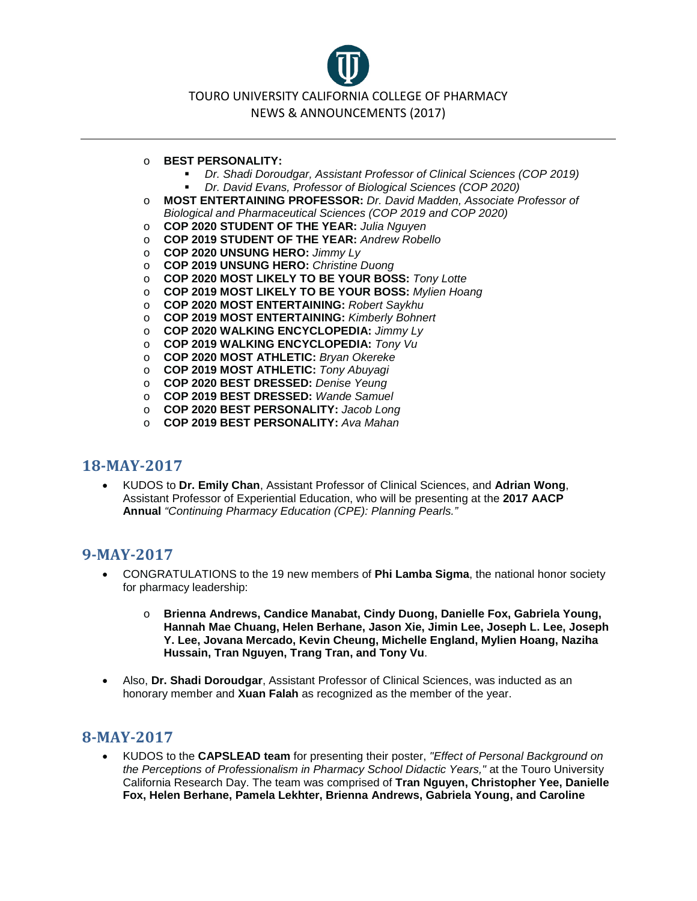TOURO UNIVERSITY CALIFORNIA COLLEGE OF PHARMACY NEWS & ANNOUNCEMENTS (2017)

#### o **BEST PERSONALITY:**

- *Dr. Shadi Doroudgar, Assistant Professor of Clinical Sciences (COP 2019) Dr. David Evans, Professor of Biological Sciences (COP 2020)*
- o **MOST ENTERTAINING PROFESSOR:** *Dr. David Madden, Associate Professor of Biological and Pharmaceutical Sciences (COP 2019 and COP 2020)*
- o **COP 2020 STUDENT OF THE YEAR:** *Julia Nguyen*
- o **COP 2019 STUDENT OF THE YEAR:** *Andrew Robello*
- o **COP 2020 UNSUNG HERO:** *Jimmy Ly*
- o **COP 2019 UNSUNG HERO:** *Christine Duong*
- o **COP 2020 MOST LIKELY TO BE YOUR BOSS:** *Tony Lotte*
- o **COP 2019 MOST LIKELY TO BE YOUR BOSS:** *Mylien Hoang*
- o **COP 2020 MOST ENTERTAINING:** *Robert Saykhu*
- o **COP 2019 MOST ENTERTAINING:** *Kimberly Bohnert*
- o **COP 2020 WALKING ENCYCLOPEDIA:** *Jimmy Ly*
- o **COP 2019 WALKING ENCYCLOPEDIA:** *Tony Vu*
- o **COP 2020 MOST ATHLETIC:** *Bryan Okereke*
- o **COP 2019 MOST ATHLETIC:** *Tony Abuyagi*
- o **COP 2020 BEST DRESSED:** *Denise Yeung*
- o **COP 2019 BEST DRESSED:** *Wande Samuel*
- o **COP 2020 BEST PERSONALITY:** *Jacob Long*
- o **COP 2019 BEST PERSONALITY:** *Ava Mahan*

### **18-MAY-2017**

• KUDOS to **Dr. Emily Chan**, Assistant Professor of Clinical Sciences, and **Adrian Wong**, Assistant Professor of Experiential Education, who will be presenting at the **2017 AACP Annual** *"Continuing Pharmacy Education (CPE): Planning Pearls."*

### **9-MAY-2017**

- CONGRATULATIONS to the 19 new members of **Phi Lamba Sigma**, the national honor society for pharmacy leadership:
	- o **Brienna Andrews, Candice Manabat, Cindy Duong, Danielle Fox, Gabriela Young, Hannah Mae Chuang, Helen Berhane, Jason Xie, Jimin Lee, Joseph L. Lee, Joseph Y. Lee, Jovana Mercado, Kevin Cheung, Michelle England, Mylien Hoang, Naziha Hussain, Tran Nguyen, Trang Tran, and Tony Vu**.
- Also, **Dr. Shadi Doroudgar**, Assistant Professor of Clinical Sciences, was inducted as an honorary member and **Xuan Falah** as recognized as the member of the year.

## **8-MAY-2017**

• KUDOS to the **CAPSLEAD team** for presenting their poster, *"Effect of Personal Background on the Perceptions of Professionalism in Pharmacy School Didactic Years,"* at the Touro University California Research Day. The team was comprised of **Tran Nguyen, Christopher Yee, Danielle Fox, Helen Berhane, Pamela Lekhter, Brienna Andrews, Gabriela Young, and Caroline**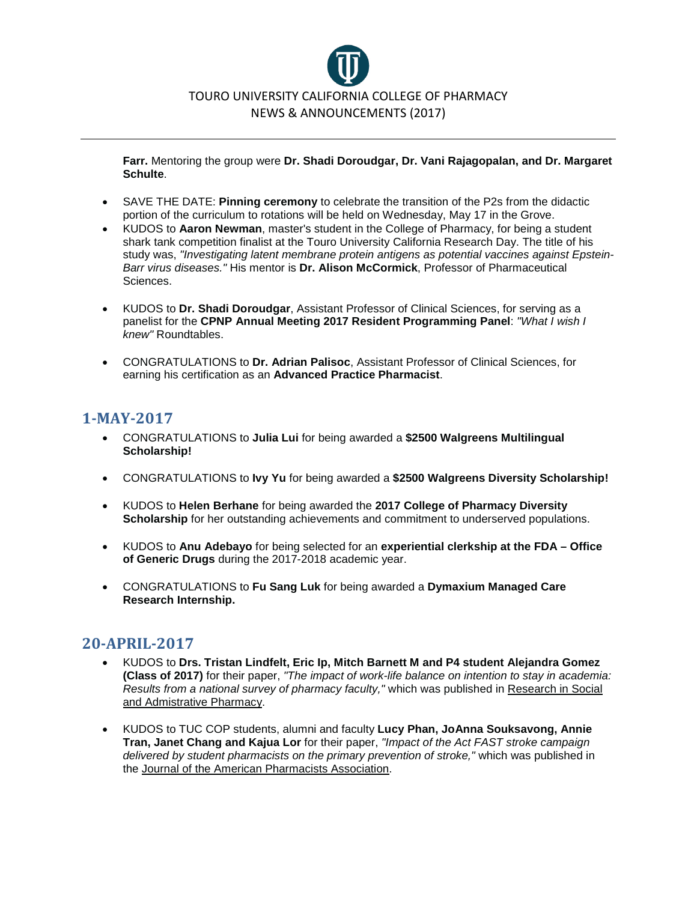

**Farr.** Mentoring the group were **Dr. Shadi Doroudgar, Dr. Vani Rajagopalan, and Dr. Margaret Schulte**.

- SAVE THE DATE: **Pinning ceremony** to celebrate the transition of the P2s from the didactic portion of the curriculum to rotations will be held on Wednesday, May 17 in the Grove.
- KUDOS to **Aaron Newman**, master's student in the College of Pharmacy, for being a student shark tank competition finalist at the Touro University California Research Day. The title of his study was, *"Investigating latent membrane protein antigens as potential vaccines against Epstein-Barr virus diseases."* His mentor is **Dr. Alison McCormick**, Professor of Pharmaceutical Sciences.
- KUDOS to **Dr. Shadi Doroudgar**, Assistant Professor of Clinical Sciences, for serving as a panelist for the **CPNP Annual Meeting 2017 Resident Programming Panel**: *"What I wish I knew"* Roundtables.
- CONGRATULATIONS to **Dr. Adrian Palisoc**, Assistant Professor of Clinical Sciences, for earning his certification as an **Advanced Practice Pharmacist**.

## **1-MAY-2017**

- CONGRATULATIONS to **Julia Lui** for being awarded a **\$2500 Walgreens Multilingual Scholarship!**
- CONGRATULATIONS to **Ivy Yu** for being awarded a **\$2500 Walgreens Diversity Scholarship!**
- KUDOS to **Helen Berhane** for being awarded the **2017 College of Pharmacy Diversity Scholarship** for her outstanding achievements and commitment to underserved populations.
- KUDOS to **Anu Adebayo** for being selected for an **experiential clerkship at the FDA – Office of Generic Drugs** during the 2017-2018 academic year.
- CONGRATULATIONS to **Fu Sang Luk** for being awarded a **Dymaxium Managed Care Research Internship.**

### **20-APRIL-2017**

- KUDOS to **Drs. Tristan Lindfelt, Eric Ip, Mitch Barnett M and P4 student Alejandra Gomez (Class of 2017)** for their paper, *"The impact of work-life balance on intention to stay in academia: Results from a national survey of pharmacy faculty,"* which was published in Research in Social and Admistrative Pharmacy.
- KUDOS to TUC COP students, alumni and faculty **Lucy Phan, JoAnna Souksavong, Annie Tran, Janet Chang and Kajua Lor** for their paper, *"Impact of the Act FAST stroke campaign delivered by student pharmacists on the primary prevention of stroke,"* which was published in the Journal of the American Pharmacists Association.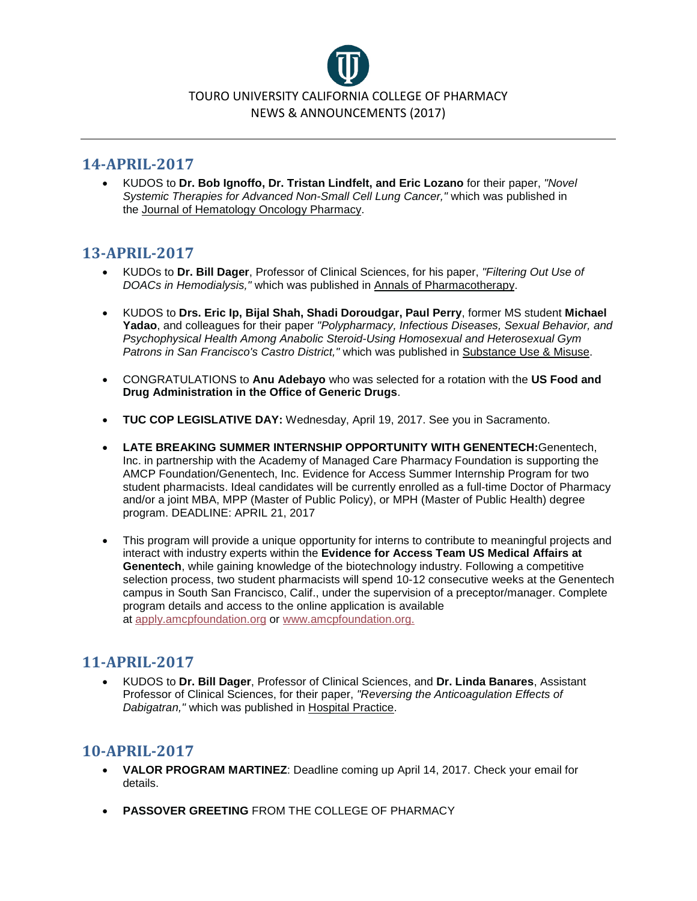

### **14-APRIL-2017**

• KUDOS to **Dr. Bob Ignoffo, Dr. Tristan Lindfelt, and Eric Lozano** for their paper, *"Novel Systemic Therapies for Advanced Non-Small Cell Lung Cancer,"* which was published in the Journal of Hematology Oncology Pharmacy.

## **13-APRIL-2017**

- KUDOs to **Dr. Bill Dager**, Professor of Clinical Sciences, for his paper, *"Filtering Out Use of DOACs in Hemodialysis,"* which was published in Annals of Pharmacotherapy.
- KUDOS to **Drs. Eric Ip, Bijal Shah, Shadi Doroudgar, Paul Perry**, former MS student **Michael Yadao**, and colleagues for their paper *"Polypharmacy, Infectious Diseases, Sexual Behavior, and Psychophysical Health Among Anabolic Steroid-Using Homosexual and Heterosexual Gym Patrons in San Francisco's Castro District,"* which was published in Substance Use & Misuse.
- CONGRATULATIONS to **Anu Adebayo** who was selected for a rotation with the **US Food and Drug Administration in the Office of Generic Drugs**.
- **TUC COP LEGISLATIVE DAY:** Wednesday, April 19, 2017. See you in Sacramento.
- **LATE BREAKING SUMMER INTERNSHIP OPPORTUNITY WITH GENENTECH:**Genentech, Inc. in partnership with the Academy of Managed Care Pharmacy Foundation is supporting the AMCP Foundation/Genentech, Inc. Evidence for Access Summer Internship Program for two student pharmacists. Ideal candidates will be currently enrolled as a full-time Doctor of Pharmacy and/or a joint MBA, MPP (Master of Public Policy), or MPH (Master of Public Health) degree program. DEADLINE: APRIL 21, 2017
- This program will provide a unique opportunity for interns to contribute to meaningful projects and interact with industry experts within the **Evidence for Access Team US Medical Affairs at Genentech**, while gaining knowledge of the biotechnology industry. Following a competitive selection process, two student pharmacists will spend 10-12 consecutive weeks at the Genentech campus in South San Francisco, Calif., under the supervision of a preceptor/manager. Complete program details and access to the online application is available at [apply.amcpfoundation.org](https://l.facebook.com/l.php?u=http%3A%2F%2Fapply.amcpfoundation.org%2F&h=ATP27Qwd6-7FKC_1aVt87d-9m7ie7kOnkeWPL02utFHT7zKKBx0WJLPQMVLmDI33mVTd1oI94DPq7StAW3dY2AABcxWFHi5Ryh2Pgbdb40hXtllhZS0lwbRNGjIMI6-2TyYIu6NfygNYDSU0HzrjkqQnRxxnHTYh-uLBY4csaV_rLB3oYvg9vn4RJ3OoBjgG0m-xUBQaRO66XZ8etMU3XRhRWRi3ffrsJo6aNS0yF-vwdDyDQA5eKll4q15ir2hK_vIzDt9uvhWYPtp1KbmVGlxqahxn7Tgf1t7XXAnP) or [www.amcpfoundation.org.](https://l.facebook.com/l.php?u=http%3A%2F%2Fwww.amcpfoundation.org%2F&h=ATNvlVaOfEET5RRJbvxxSjz6vuPHFhPYagT1aJ2im827xk-cSjaCSZLBof-9jHuO_Lq4hd3iKslE8tZ1EcwLqAdvp5sBkKQrQlzXD5IEZlI8z88ifVSMOFLsQSOfUuG8FR3S547-J64RH9znYACBCzqwGJ3hcIoMcH4OKtqg0CIsDyGVLvby9xVEZ8HW52_HuQ1WV6ixwN1TQehmX07IDG1bYq_nTUH0sR1tXMVFISfABL-vFj1tsQj9GBnaiIbTuc4en7a0lC7xXLFdMTbdHAhejnJ9V6RqABzBacvl)

## **11-APRIL-2017**

• KUDOS to **Dr. Bill Dager**, Professor of Clinical Sciences, and **Dr. Linda Banares**, Assistant Professor of Clinical Sciences, for their paper, *"Reversing the Anticoagulation Effects of Dabigatran,"* which was published in Hospital Practice.

### **10-APRIL-2017**

- **VALOR PROGRAM MARTINEZ**: Deadline coming up April 14, 2017. Check your email for details.
- **PASSOVER GREETING** FROM THE COLLEGE OF PHARMACY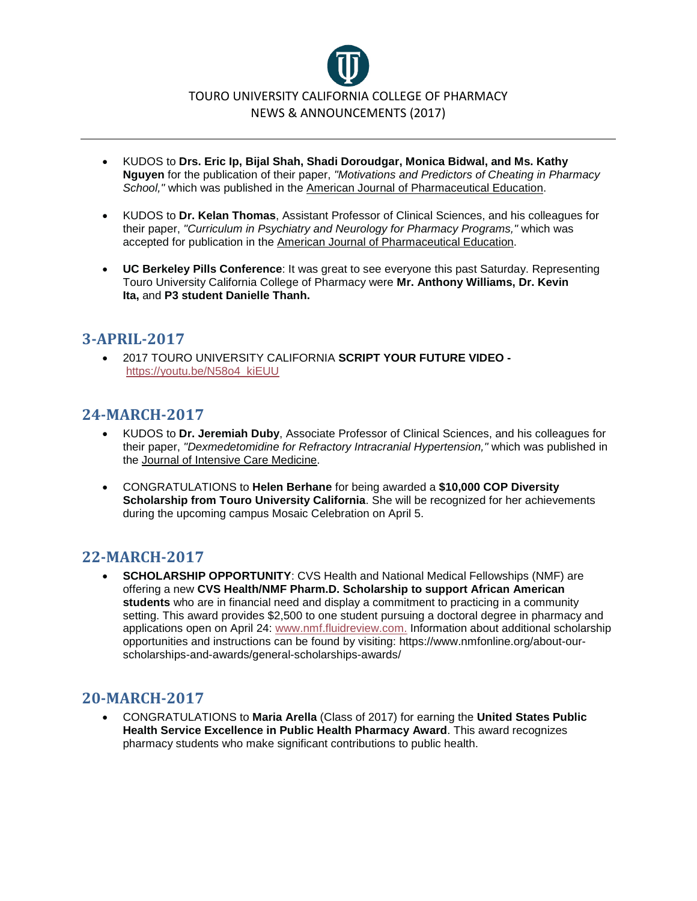

- KUDOS to **Drs. Eric Ip, Bijal Shah, Shadi Doroudgar, Monica Bidwal, and Ms. Kathy Nguyen** for the publication of their paper, *"Motivations and Predictors of Cheating in Pharmacy School,"* which was published in the American Journal of Pharmaceutical Education.
- KUDOS to **Dr. Kelan Thomas**, Assistant Professor of Clinical Sciences, and his colleagues for their paper, *"Curriculum in Psychiatry and Neurology for Pharmacy Programs,"* which was accepted for publication in the American Journal of Pharmaceutical Education.
- **UC Berkeley Pills Conference**: It was great to see everyone this past Saturday. Representing Touro University California College of Pharmacy were **Mr. Anthony Williams, Dr. Kevin Ita,** and **P3 student Danielle Thanh.**

## **3-APRIL-2017**

• 2017 TOURO UNIVERSITY CALIFORNIA **SCRIPT YOUR FUTURE VIDEO**  [https://youtu.be/N58o4\\_kiEUU](https://youtu.be/N58o4_kiEUU)

## **24-MARCH-2017**

- KUDOS to **Dr. Jeremiah Duby**, Associate Professor of Clinical Sciences, and his colleagues for their paper, *"Dexmedetomidine for Refractory Intracranial Hypertension,"* which was published in the Journal of Intensive Care Medicine.
- CONGRATULATIONS to **Helen Berhane** for being awarded a **\$10,000 COP Diversity Scholarship from Touro University California**. She will be recognized for her achievements during the upcoming campus Mosaic Celebration on April 5.

### **22-MARCH-2017**

• **SCHOLARSHIP OPPORTUNITY**: CVS Health and National Medical Fellowships (NMF) are offering a new **CVS Health/NMF Pharm.D. Scholarship to support African American students** who are in financial need and display a commitment to practicing in a community setting. This award provides \$2,500 to one student pursuing a doctoral degree in pharmacy and applications open on April 24: [www.nmf.fluidreview.com.](http://www.nmf.fluidreview.com/) Information about additional scholarship opportunities and instructions can be found by visiting: https://www.nmfonline.org/about-ourscholarships-and-awards/general-scholarships-awards/

## **20-MARCH-2017**

• CONGRATULATIONS to **Maria Arella** (Class of 2017) for earning the **United States Public Health Service Excellence in Public Health Pharmacy Award**. This award recognizes pharmacy students who make significant contributions to public health.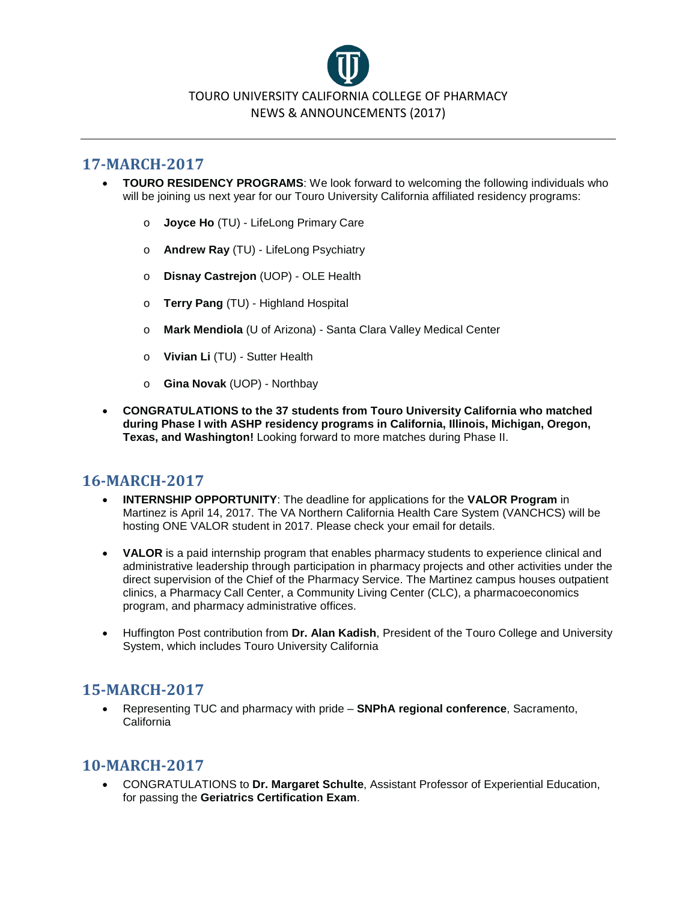

### **17-MARCH-2017**

- **TOURO RESIDENCY PROGRAMS**: We look forward to welcoming the following individuals who will be joining us next year for our Touro University California affiliated residency programs:
	- o **Joyce Ho** (TU) LifeLong Primary Care
	- o **Andrew Ray** (TU) LifeLong Psychiatry
	- o **Disnay Castrejon** (UOP) OLE Health
	- o **Terry Pang** (TU) Highland Hospital
	- o **Mark Mendiola** (U of Arizona) Santa Clara Valley Medical Center
	- o **Vivian Li** (TU) Sutter Health
	- o **Gina Novak** (UOP) Northbay
- **CONGRATULATIONS to the 37 students from Touro University California who matched during Phase I with ASHP residency programs in California, Illinois, Michigan, Oregon, Texas, and Washington!** Looking forward to more matches during Phase II.

### **16-MARCH-2017**

- **INTERNSHIP OPPORTUNITY**: The deadline for applications for the **VALOR Program** in Martinez is April 14, 2017. The VA Northern California Health Care System (VANCHCS) will be hosting ONE VALOR student in 2017. Please check your email for details.
- **VALOR** is a paid internship program that enables pharmacy students to experience clinical and administrative leadership through participation in pharmacy projects and other activities under the direct supervision of the Chief of the Pharmacy Service. The Martinez campus houses outpatient clinics, a Pharmacy Call Center, a Community Living Center (CLC), a pharmacoeconomics program, and pharmacy administrative offices.
- Huffington Post contribution from **Dr. Alan Kadish**, President of the Touro College and University System, which includes Touro University California

### **15-MARCH-2017**

• Representing TUC and pharmacy with pride – **SNPhA regional conference**, Sacramento, California

### **10-MARCH-2017**

• CONGRATULATIONS to **Dr. Margaret Schulte**, Assistant Professor of Experiential Education, for passing the **Geriatrics Certification Exam**.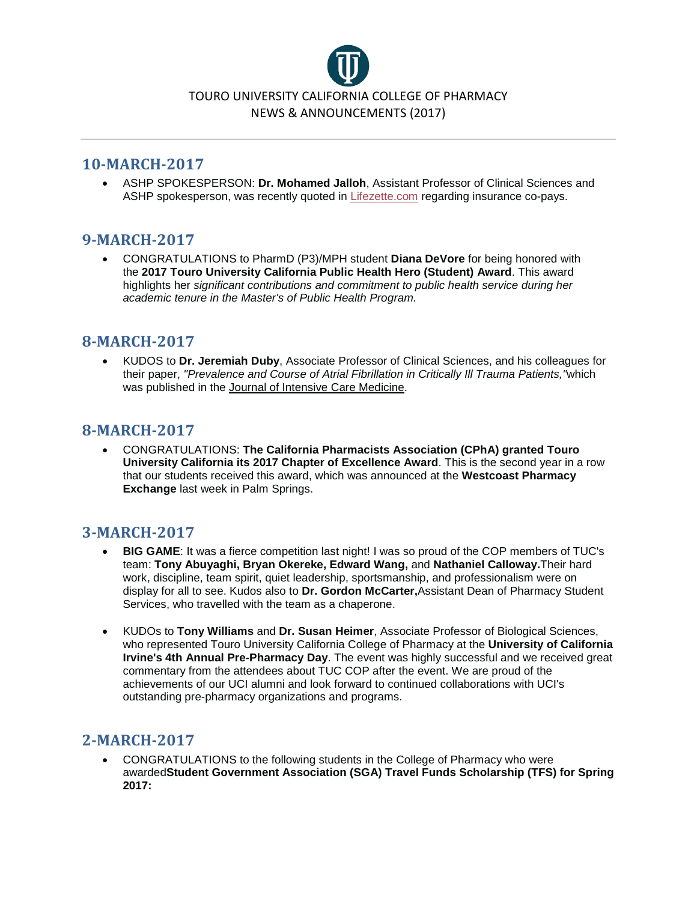

### **10-MARCH-2017**

• ASHP SPOKESPERSON: **Dr. Mohamed Jalloh**, Assistant Professor of Clinical Sciences and ASHP spokesperson, was recently quoted in [Lifezette.com](https://l.facebook.com/l.php?u=http%3A%2F%2FLifezette.com%2F&h=ATMIMRT7hfciTVcbO48w5d9FfPsZOVL8Zbb6oOS2G-Q6OwClV3w3OR3jUpRdTvV7uc_5QqPLFAtuQ0mF3v6FdgA-_b8S96DA0cmuoPW_NNEY0tW7-w3b-fVmoFA8RpmbWaFfSRKG7zxVkmo&enc=AZNFHQkc8CaOvFfT9_UY6KGVS3uukao97EsKasHao5Vla7Z_8sRazCwU7pdgAfoSUiWyz9g6ewNnXT9AE4qkV4mOUtqaRgWs0DLJH_3k5R2i7-lvJXOwcFVa6Dzb8-NTS1Yty7uAYXxJiM01FFSHXFh1gDiUfSPvDLa8YW1VuIdoNKH5Pci_LNK6rpb1WbUrqa61Bh1DgXRDvIzCjsX2OZyd&s=1) regarding insurance co-pays.

### **9-MARCH-2017**

• CONGRATULATIONS to PharmD (P3)/MPH student **Diana DeVore** for being honored with the **2017 Touro University California Public Health Hero (Student) Award**. This award highlights her *significant contributions and commitment to public health service during her academic tenure in the Master's of Public Health Program.*

### **8-MARCH-2017**

• KUDOS to **Dr. Jeremiah Duby**, Associate Professor of Clinical Sciences, and his colleagues for their paper, *"Prevalence and Course of Atrial Fibrillation in Critically Ill Trauma Patients,"*which was published in the Journal of Intensive Care Medicine.

## **8-MARCH-2017**

• CONGRATULATIONS: **The California Pharmacists Association (CPhA) granted Touro University California its 2017 Chapter of Excellence Award**. This is the second year in a row that our students received this award, which was announced at the **Westcoast Pharmacy Exchange** last week in Palm Springs.

## **3-MARCH-2017**

- **BIG GAME**: It was a fierce competition last night! I was so proud of the COP members of TUC's team: **Tony Abuyaghi, Bryan Okereke, Edward Wang,** and **Nathaniel Calloway.**Their hard work, discipline, team spirit, quiet leadership, sportsmanship, and professionalism were on display for all to see. Kudos also to **Dr. Gordon McCarter,**Assistant Dean of Pharmacy Student Services, who travelled with the team as a chaperone.
- KUDOs to **Tony Williams** and **Dr. Susan Heimer**, Associate Professor of Biological Sciences, who represented Touro University California College of Pharmacy at the **University of California Irvine's 4th Annual Pre-Pharmacy Day**. The event was highly successful and we received great commentary from the attendees about TUC COP after the event. We are proud of the achievements of our UCI alumni and look forward to continued collaborations with UCI's outstanding pre-pharmacy organizations and programs.

## **2-MARCH-2017**

• CONGRATULATIONS to the following students in the College of Pharmacy who were awarded**Student Government Association (SGA) Travel Funds Scholarship (TFS) for Spring 2017:**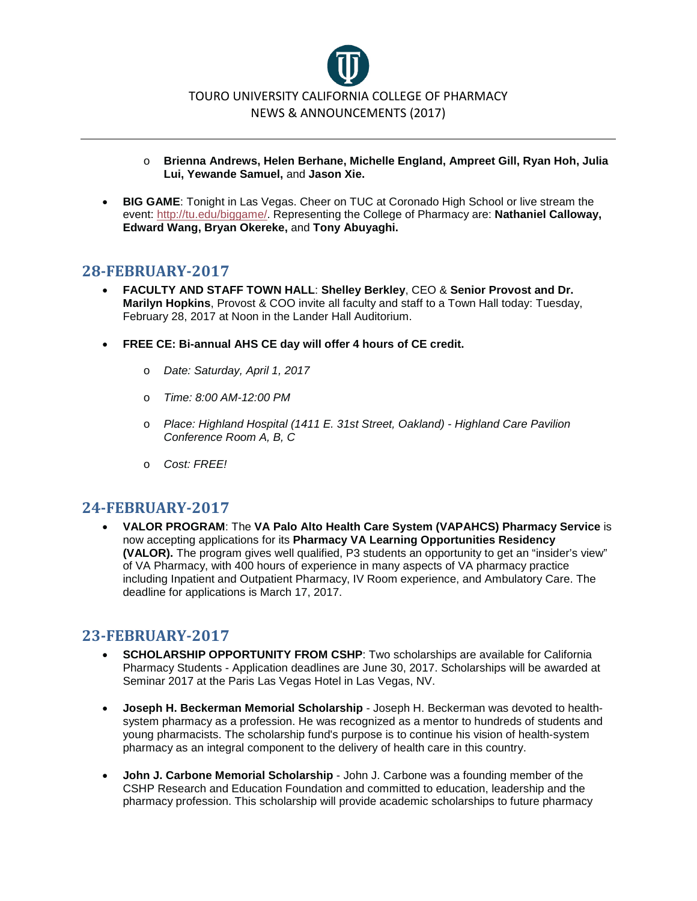

- o **Brienna Andrews, Helen Berhane, Michelle England, Ampreet Gill, Ryan Hoh, Julia Lui, Yewande Samuel,** and **Jason Xie.**
- **BIG GAME**: Tonight in Las Vegas. Cheer on TUC at Coronado High School or live stream the event: [http://tu.edu/biggame/.](http://tu.edu/biggame/) Representing the College of Pharmacy are: **Nathaniel Calloway, Edward Wang, Bryan Okereke,** and **Tony Abuyaghi.**

### **28-FEBRUARY-2017**

- **FACULTY AND STAFF TOWN HALL**: **Shelley Berkley**, CEO & **Senior Provost and Dr. Marilyn Hopkins**, Provost & COO invite all faculty and staff to a Town Hall today: Tuesday, February 28, 2017 at Noon in the Lander Hall Auditorium.
- **FREE CE: Bi-annual AHS CE day will offer 4 hours of CE credit.**
	- o *Date: Saturday, April 1, 2017*
	- o *Time: 8:00 AM-12:00 PM*
	- o *Place: Highland Hospital (1411 E. 31st Street, Oakland) - Highland Care Pavilion Conference Room A, B, C*
	- o *Cost: FREE!*

### **24-FEBRUARY-2017**

• **VALOR PROGRAM**: The **VA Palo Alto Health Care System (VAPAHCS) Pharmacy Service** is now accepting applications for its **Pharmacy VA Learning Opportunities Residency (VALOR).** The program gives well qualified, P3 students an opportunity to get an "insider's view" of VA Pharmacy, with 400 hours of experience in many aspects of VA pharmacy practice including Inpatient and Outpatient Pharmacy, IV Room experience, and Ambulatory Care. The deadline for applications is March 17, 2017.

### **23-FEBRUARY-2017**

- **SCHOLARSHIP OPPORTUNITY FROM CSHP**: Two scholarships are available for California Pharmacy Students - Application deadlines are June 30, 2017. Scholarships will be awarded at Seminar 2017 at the Paris Las Vegas Hotel in Las Vegas, NV.
- **Joseph H. Beckerman Memorial Scholarship** Joseph H. Beckerman was devoted to healthsystem pharmacy as a profession. He was recognized as a mentor to hundreds of students and young pharmacists. The scholarship fund's purpose is to continue his vision of health-system pharmacy as an integral component to the delivery of health care in this country.
- **John J. Carbone Memorial Scholarship** John J. Carbone was a founding member of the CSHP Research and Education Foundation and committed to education, leadership and the pharmacy profession. This scholarship will provide academic scholarships to future pharmacy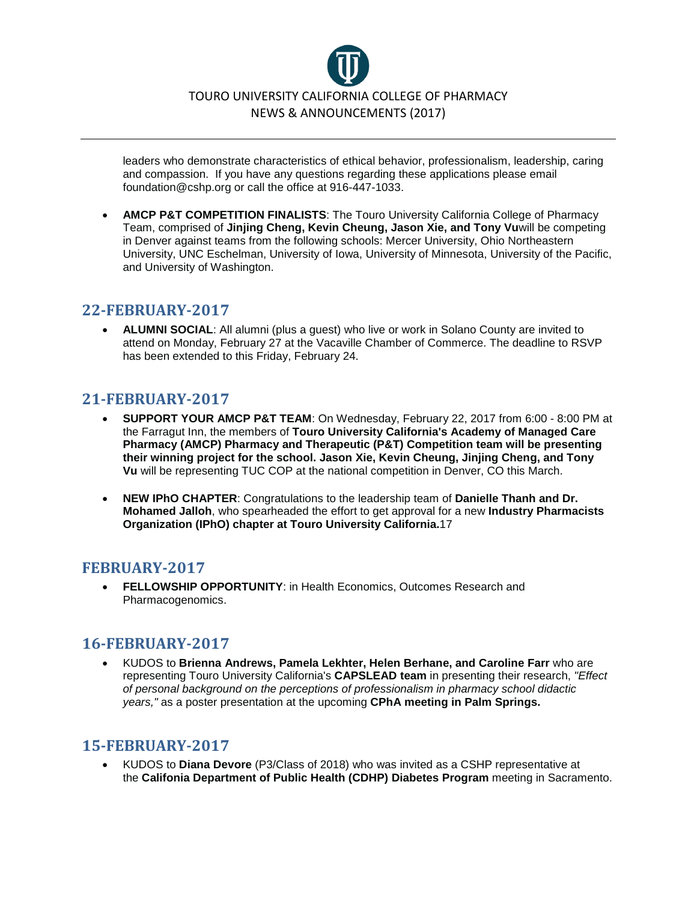

leaders who demonstrate characteristics of ethical behavior, professionalism, leadership, caring and compassion. If you have any questions regarding these applications please email foundation@cshp.org or call the office at 916-447-1033.

• **AMCP P&T COMPETITION FINALISTS**: The Touro University California College of Pharmacy Team, comprised of **Jinjing Cheng, Kevin Cheung, Jason Xie, and Tony Vu**will be competing in Denver against teams from the following schools: Mercer University, Ohio Northeastern University, UNC Eschelman, University of Iowa, University of Minnesota, University of the Pacific, and University of Washington.

### **22-FEBRUARY-2017**

• **ALUMNI SOCIAL**: All alumni (plus a guest) who live or work in Solano County are invited to attend on Monday, February 27 at the Vacaville Chamber of Commerce. The deadline to RSVP has been extended to this Friday, February 24.

## **21-FEBRUARY-2017**

- **SUPPORT YOUR AMCP P&T TEAM**: On Wednesday, February 22, 2017 from 6:00 8:00 PM at the Farragut Inn, the members of **Touro University California's Academy of Managed Care Pharmacy (AMCP) Pharmacy and Therapeutic (P&T) Competition team will be presenting their winning project for the school. Jason Xie, Kevin Cheung, Jinjing Cheng, and Tony Vu** will be representing TUC COP at the national competition in Denver, CO this March.
- **NEW IPhO CHAPTER**: Congratulations to the leadership team of **Danielle Thanh and Dr. Mohamed Jalloh**, who spearheaded the effort to get approval for a new **Industry Pharmacists Organization (IPhO) chapter at Touro University California.**17

### **FEBRUARY-2017**

• **FELLOWSHIP OPPORTUNITY**: in Health Economics, Outcomes Research and Pharmacogenomics.

### **16-FEBRUARY-2017**

• KUDOS to **Brienna Andrews, Pamela Lekhter, Helen Berhane, and Caroline Farr** who are representing Touro University California's **CAPSLEAD team** in presenting their research, *"Effect of personal background on the perceptions of professionalism in pharmacy school didactic years,"* as a poster presentation at the upcoming **CPhA meeting in Palm Springs.**

## **15-FEBRUARY-2017**

• KUDOS to **Diana Devore** (P3/Class of 2018) who was invited as a CSHP representative at the **Califonia Department of Public Health (CDHP) Diabetes Program** meeting in Sacramento.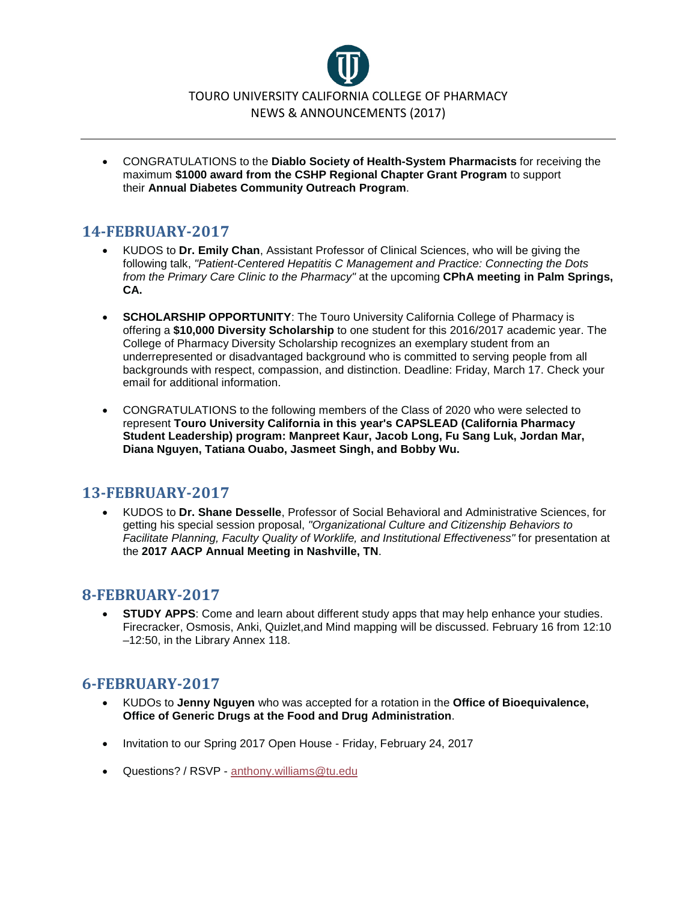

• CONGRATULATIONS to the **Diablo Society of Health-System Pharmacists** for receiving the maximum **\$1000 award from the CSHP Regional Chapter Grant Program** to support their **Annual Diabetes Community Outreach Program**.

## **14-FEBRUARY-2017**

- KUDOS to **Dr. Emily Chan**, Assistant Professor of Clinical Sciences, who will be giving the following talk, *"Patient-Centered Hepatitis C Management and Practice: Connecting the Dots from the Primary Care Clinic to the Pharmacy"* at the upcoming **CPhA meeting in Palm Springs, CA.**
- **SCHOLARSHIP OPPORTUNITY:** The Touro University California College of Pharmacy is offering a **\$10,000 Diversity Scholarship** to one student for this 2016/2017 academic year. The College of Pharmacy Diversity Scholarship recognizes an exemplary student from an underrepresented or disadvantaged background who is committed to serving people from all backgrounds with respect, compassion, and distinction. Deadline: Friday, March 17. Check your email for additional information.
- CONGRATULATIONS to the following members of the Class of 2020 who were selected to represent **Touro University California in this year's CAPSLEAD (California Pharmacy Student Leadership) program: Manpreet Kaur, Jacob Long, Fu Sang Luk, Jordan Mar, Diana Nguyen, Tatiana Ouabo, Jasmeet Singh, and Bobby Wu.**

## **13-FEBRUARY-2017**

• KUDOS to **Dr. Shane Desselle**, Professor of Social Behavioral and Administrative Sciences, for getting his special session proposal, *"Organizational Culture and Citizenship Behaviors to Facilitate Planning, Faculty Quality of Worklife, and Institutional Effectiveness"* for presentation at the **2017 AACP Annual Meeting in Nashville, TN**.

### **8-FEBRUARY-2017**

**STUDY APPS:** Come and learn about different study apps that may help enhance your studies. Firecracker, Osmosis, Anki, Quizlet,and Mind mapping will be discussed. February 16 from 12:10 –12:50, in the Library Annex 118.

## **6-FEBRUARY-2017**

- KUDOs to **Jenny Nguyen** who was accepted for a rotation in the **Office of Bioequivalence, Office of Generic Drugs at the Food and Drug Administration**.
- Invitation to our Spring 2017 Open House Friday, February 24, 2017
- Questions? / RSVP [anthony.williams@tu.edu](mailto:anthony.williams@tu.edu?subject=Feb%2024%2C%202017%20Open%20House)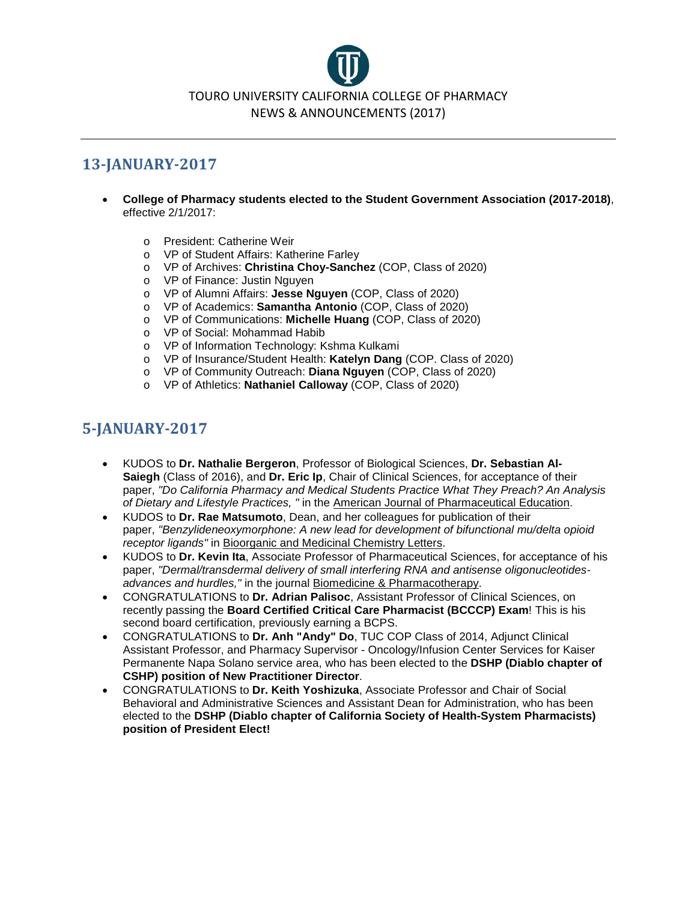

# **13-JANUARY-2017**

- **College of Pharmacy students elected to the Student Government Association (2017-2018)**, effective 2/1/2017:
	- o President: Catherine Weir
	- o VP of Student Affairs: Katherine Farley
	- o VP of Archives: **Christina Choy-Sanchez** (COP, Class of 2020)
	- o VP of Finance: Justin Nguyen<br>
	o VP of Alumni Affairs: Jesse Ne
	- o VP of Alumni Affairs: **Jesse Nguyen** (COP, Class of 2020)
	- o VP of Academics: **Samantha Antonio** (COP, Class of 2020)
	- o VP of Communications: **Michelle Huang** (COP, Class of 2020)
	- o VP of Social: Mohammad Habib
	- o VP of Information Technology: Kshma Kulkami
	- o VP of Insurance/Student Health: **Katelyn Dang** (COP. Class of 2020)
	- o VP of Community Outreach: **Diana Nguyen** (COP, Class of 2020)
	- o VP of Athletics: **Nathaniel Calloway** (COP, Class of 2020)

## **5-JANUARY-2017**

- KUDOS to **Dr. Nathalie Bergeron**, Professor of Biological Sciences, **Dr. Sebastian Al-Saiegh** (Class of 2016), and **Dr. Eric Ip**, Chair of Clinical Sciences, for acceptance of their paper, *"Do California Pharmacy and Medical Students Practice What They Preach? An Analysis of Dietary and Lifestyle Practices, "* in the American Journal of Pharmaceutical Education.
- KUDOS to **Dr. Rae Matsumoto**, Dean, and her colleagues for publication of their paper, *"Benzylideneoxymorphone: A new lead for development of bifunctional mu/delta opioid receptor ligands"* in Bioorganic and Medicinal Chemistry Letters.
- KUDOS to **Dr. Kevin Ita**, Associate Professor of Pharmaceutical Sciences, for acceptance of his paper, *"Dermal/transdermal delivery of small interfering RNA and antisense oligonucleotidesadvances and hurdles,"* in the journal Biomedicine & Pharmacotherapy.
- CONGRATULATIONS to **Dr. Adrian Palisoc**, Assistant Professor of Clinical Sciences, on recently passing the **Board Certified Critical Care Pharmacist (BCCCP) Exam**! This is his second board certification, previously earning a BCPS.
- CONGRATULATIONS to **Dr. Anh "Andy" Do**, TUC COP Class of 2014, Adjunct Clinical Assistant Professor, and Pharmacy Supervisor - Oncology/Infusion Center Services for Kaiser Permanente Napa Solano service area, who has been elected to the **DSHP (Diablo chapter of CSHP) position of New Practitioner Director**.
- CONGRATULATIONS to **Dr. Keith Yoshizuka**, Associate Professor and Chair of Social Behavioral and Administrative Sciences and Assistant Dean for Administration, who has been elected to the **DSHP (Diablo chapter of California Society of Health-System Pharmacists) position of President Elect!**